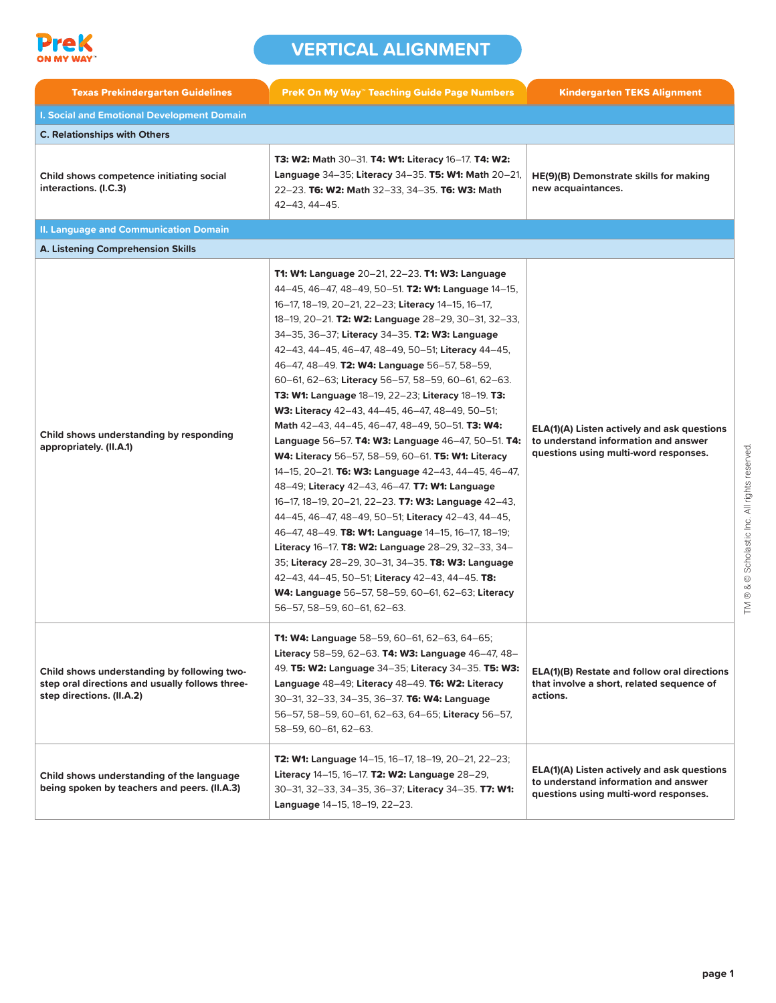

| <b>Texas Prekindergarten Guidelines</b>                                                                                     | <b>PreK On My Way™ Teaching Guide Page Numbers</b>                                                                                                                                                                                                                                                                                                                                                                                                                                                                                                                                                                                                                                                                                                                                                                                                                                                                                                                                                                                                                                                                                                                                                                                                                    | <b>Kindergarten TEKS Alignment</b>                                                                                           |
|-----------------------------------------------------------------------------------------------------------------------------|-----------------------------------------------------------------------------------------------------------------------------------------------------------------------------------------------------------------------------------------------------------------------------------------------------------------------------------------------------------------------------------------------------------------------------------------------------------------------------------------------------------------------------------------------------------------------------------------------------------------------------------------------------------------------------------------------------------------------------------------------------------------------------------------------------------------------------------------------------------------------------------------------------------------------------------------------------------------------------------------------------------------------------------------------------------------------------------------------------------------------------------------------------------------------------------------------------------------------------------------------------------------------|------------------------------------------------------------------------------------------------------------------------------|
| <b>I. Social and Emotional Development Domain</b>                                                                           |                                                                                                                                                                                                                                                                                                                                                                                                                                                                                                                                                                                                                                                                                                                                                                                                                                                                                                                                                                                                                                                                                                                                                                                                                                                                       |                                                                                                                              |
| <b>C. Relationships with Others</b>                                                                                         |                                                                                                                                                                                                                                                                                                                                                                                                                                                                                                                                                                                                                                                                                                                                                                                                                                                                                                                                                                                                                                                                                                                                                                                                                                                                       |                                                                                                                              |
| Child shows competence initiating social<br>interactions. (I.C.3)                                                           | <b>T3: W2: Math 30–31. T4: W1: Literacy 16–17. T4: W2:</b><br>Language 34-35; Literacy 34-35. T5: W1: Math 20-21,<br>22-23. T6: W2: Math 32-33, 34-35. T6: W3: Math<br>42-43, 44-45.                                                                                                                                                                                                                                                                                                                                                                                                                                                                                                                                                                                                                                                                                                                                                                                                                                                                                                                                                                                                                                                                                  | HE(9)(B) Demonstrate skills for making<br>new acquaintances.                                                                 |
| <b>II. Language and Communication Domain</b>                                                                                |                                                                                                                                                                                                                                                                                                                                                                                                                                                                                                                                                                                                                                                                                                                                                                                                                                                                                                                                                                                                                                                                                                                                                                                                                                                                       |                                                                                                                              |
| A. Listening Comprehension Skills                                                                                           |                                                                                                                                                                                                                                                                                                                                                                                                                                                                                                                                                                                                                                                                                                                                                                                                                                                                                                                                                                                                                                                                                                                                                                                                                                                                       |                                                                                                                              |
| Child shows understanding by responding<br>appropriately. (II.A.1)                                                          | <b>T1: W1: Language 20–21, 22–23. T1: W3: Language</b><br>44-45, 46-47, 48-49, 50-51. T2: W1: Language 14-15,<br>16-17, 18-19, 20-21, 22-23; Literacy 14-15, 16-17,<br>18-19, 20-21. T2: W2: Language 28-29, 30-31, 32-33,<br>34-35, 36-37; Literacy 34-35. T2: W3: Language<br>42-43, 44-45, 46-47, 48-49, 50-51; Literacy 44-45,<br>46-47, 48-49. T2: W4: Language 56-57, 58-59,<br>60-61, 62-63; Literacy 56-57, 58-59, 60-61, 62-63.<br>T3: W1: Language 18-19, 22-23; Literacy 18-19. T3:<br>W3: Literacy 42-43, 44-45, 46-47, 48-49, 50-51;<br>Math 42-43, 44-45, 46-47, 48-49, 50-51. T3: W4:<br>Language 56-57. T4: W3: Language 46-47, 50-51. T4:<br><b>W4: Literacy 56-57, 58-59, 60-61. T5: W1: Literacy</b><br>14-15, 20-21. T6: W3: Language 42-43, 44-45, 46-47,<br>48-49; Literacy 42-43, 46-47. <b>T7: W1: Language</b><br>16-17, 18-19, 20-21, 22-23. T7: W3: Language 42-43,<br>44-45, 46-47, 48-49, 50-51; Literacy 42-43, 44-45,<br>46-47, 48-49. T8: W1: Language 14-15, 16-17, 18-19;<br>Literacy 16-17. T8: W2: Language 28-29, 32-33, 34-<br>35; Literacy 28-29, 30-31, 34-35. T8: W3: Language<br>42-43, 44-45, 50-51; Literacy 42-43, 44-45. T8:<br><b>W4: Language</b> 56–57, 58–59, 60–61, 62–63; Literacy<br>56-57, 58-59, 60-61, 62-63. | ELA(1)(A) Listen actively and ask questions<br>to understand information and answer<br>questions using multi-word responses. |
| Child shows understanding by following two-<br>step oral directions and usually follows three-<br>step directions. (II.A.2) | <b>T1: W4: Language</b> 58-59, 60-61, 62-63, 64-65;<br>Literacy 58-59, 62-63. T4: W3: Language 46-47, 48-<br>49. T5: W2: Language 34-35; Literacy 34-35. T5: W3:<br>Language 48-49; Literacy 48-49. T6: W2: Literacy<br>30-31, 32-33, 34-35, 36-37. T6: W4: Language<br>56-57, 58-59, 60-61, 62-63, 64-65; Literacy 56-57,<br>58-59, 60-61, 62-63.                                                                                                                                                                                                                                                                                                                                                                                                                                                                                                                                                                                                                                                                                                                                                                                                                                                                                                                    | ELA(1)(B) Restate and follow oral directions<br>that involve a short, related sequence of<br>actions.                        |
| Child shows understanding of the language<br>being spoken by teachers and peers. (II.A.3)                                   | T2: W1: Language 14-15, 16-17, 18-19, 20-21, 22-23;<br>Literacy 14-15, 16-17. T2: W2: Language 28-29,<br>30-31, 32-33, 34-35, 36-37; Literacy 34-35. T7: W1:<br>Language 14-15, 18-19, 22-23.                                                                                                                                                                                                                                                                                                                                                                                                                                                                                                                                                                                                                                                                                                                                                                                                                                                                                                                                                                                                                                                                         | ELA(1)(A) Listen actively and ask questions<br>to understand information and answer<br>questions using multi-word responses. |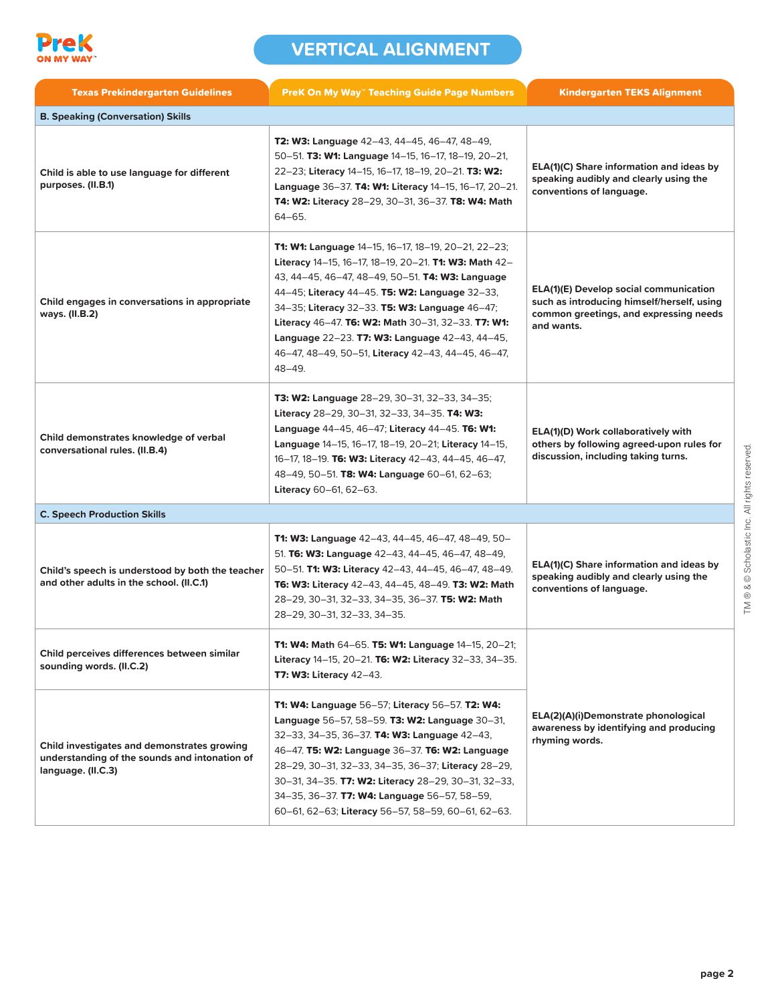

| <b>Texas Prekindergarten Guidelines</b>                                                                            | <b>PreK On My Way" Teaching Guide Page Numbers</b>                                                                                                                                                                                                                                                                                                                                                                                                         | <b>Kindergarten TEKS Alignment</b>                                                                                                                  |
|--------------------------------------------------------------------------------------------------------------------|------------------------------------------------------------------------------------------------------------------------------------------------------------------------------------------------------------------------------------------------------------------------------------------------------------------------------------------------------------------------------------------------------------------------------------------------------------|-----------------------------------------------------------------------------------------------------------------------------------------------------|
| <b>B. Speaking (Conversation) Skills</b>                                                                           |                                                                                                                                                                                                                                                                                                                                                                                                                                                            |                                                                                                                                                     |
| Child is able to use language for different<br>purposes. (II.B.1)                                                  | <b>T2: W3: Language</b> 42–43, 44–45, 46–47, 48–49,<br>50-51. T3: W1: Language 14-15, 16-17, 18-19, 20-21,<br>22-23; Literacy 14-15, 16-17, 18-19, 20-21. T3: W2:<br>Language 36-37. T4: W1: Literacy 14-15, 16-17, 20-21.<br><b>T4: W2: Literacy</b> 28-29, 30-31, 36-37. <b>T8: W4: Math</b><br>64-65.                                                                                                                                                   | ELA(1)(C) Share information and ideas by<br>speaking audibly and clearly using the<br>conventions of language.                                      |
| Child engages in conversations in appropriate<br>ways. (II.B.2)                                                    | <b>T1: W1: Language</b> 14–15, 16–17, 18–19, 20–21, 22–23;<br>Literacy 14–15, 16–17, 18–19, 20–21. T1: W3: Math 42–<br>43, 44–45, 46–47, 48–49, 50–51. <b>T4: W3: Language</b><br>44–45; Literacy 44–45. T5: W2: Language 32–33,<br>34-35; Literacy 32-33. T5: W3: Language 46-47;<br>Literacy 46-47. T6: W2: Math 30-31, 32-33. T7: W1:<br>Language 22-23. T7: W3: Language 42-43, 44-45,<br>46-47, 48-49, 50-51, Literacy 42-43, 44-45, 46-47,<br>48-49. | <b>ELA(1)(E) Develop social communication</b><br>such as introducing himself/herself, using<br>common greetings, and expressing needs<br>and wants. |
| Child demonstrates knowledge of verbal<br>conversational rules. (II.B.4)                                           | <b>T3: W2: Language</b> 28–29, 30–31, 32–33, 34–35;<br>Literacy 28-29, 30-31, 32-33, 34-35. T4: W3:<br>Language 44–45, 46–47; Literacy 44–45. T6: W1:<br>Language 14-15, 16-17, 18-19, 20-21; Literacy 14-15,<br>16-17, 18-19. T6: W3: Literacy 42-43, 44-45, 46-47,<br>48-49, 50-51. T8: W4: Language 60-61, 62-63;<br>Literacy 60-61, 62-63.                                                                                                             | ELA(1)(D) Work collaboratively with<br>others by following agreed-upon rules for<br>discussion, including taking turns.                             |
| <b>C. Speech Production Skills</b>                                                                                 |                                                                                                                                                                                                                                                                                                                                                                                                                                                            |                                                                                                                                                     |
| Child's speech is understood by both the teacher<br>and other adults in the school. (II.C.1)                       | <b>T1: W3: Language</b> 42–43, 44–45, 46–47, 48–49, 50–<br>51. T6: W3: Language 42-43, 44-45, 46-47, 48-49,<br>50-51. T1: W3: Literacy 42-43, 44-45, 46-47, 48-49.<br>T6: W3: Literacy 42-43, 44-45, 48-49. T3: W2: Math<br>28-29, 30-31, 32-33, 34-35, 36-37. T5: W2: Math<br>28-29, 30-31, 32-33, 34-35.                                                                                                                                                 | ELA(1)(C) Share information and ideas by<br>speaking audibly and clearly using the<br>conventions of language.                                      |
| Child perceives differences between similar<br>sounding words. (II.C.2)                                            | T1: W4: Math 64-65. T5: W1: Language 14-15, 20-21;<br>Literacy 14-15, 20-21. T6: W2: Literacy 32-33, 34-35.<br><b>T7: W3: Literacy 42-43.</b>                                                                                                                                                                                                                                                                                                              |                                                                                                                                                     |
| Child investigates and demonstrates growing<br>understanding of the sounds and intonation of<br>language. (II.C.3) | T1: W4: Language 56-57; Literacy 56-57. T2: W4:<br>Language 56-57, 58-59. T3: W2: Language 30-31,<br>32-33, 34-35, 36-37. T4: W3: Language 42-43,<br>46-47. T5: W2: Language 36-37. T6: W2: Language<br>28-29, 30-31, 32-33, 34-35, 36-37; Literacy 28-29,<br>30-31, 34-35. T7: W2: Literacy 28-29, 30-31, 32-33,<br>34-35, 36-37. T7: W4: Language 56-57, 58-59,<br>60-61, 62-63; Literacy 56-57, 58-59, 60-61, 62-63.                                    | ELA(2)(A)(i)Demonstrate phonological<br>awareness by identifying and producing<br>rhyming words.                                                    |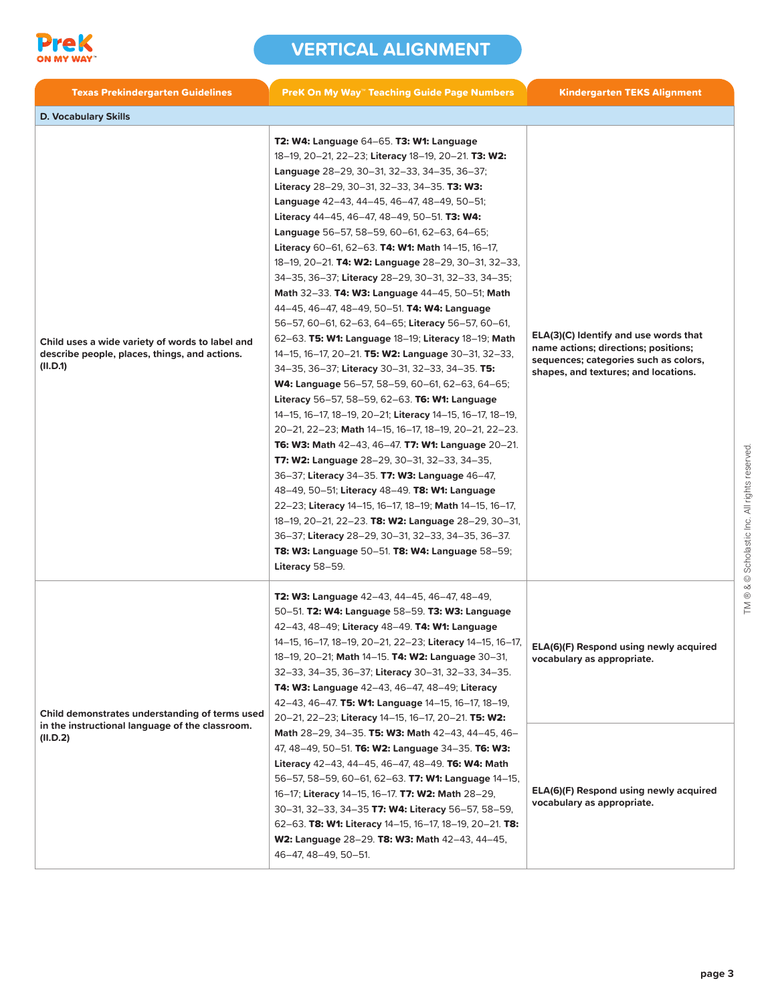

| <b>Texas Prekindergarten Guidelines</b>                                                                       | <b>PreK On My Way" Teaching Guide Page Numbers</b>                                                                                                                                                                                                                                                                                                                                                                                                                                                                                                                                                                                                                                                                                                                                                                                                                                                                                                                                                                                                                                                                                                                                                                                                                                                                                                                                                                                                                                                                                 | <b>Kindergarten TEKS Alignment</b>                                                                                                                             |
|---------------------------------------------------------------------------------------------------------------|------------------------------------------------------------------------------------------------------------------------------------------------------------------------------------------------------------------------------------------------------------------------------------------------------------------------------------------------------------------------------------------------------------------------------------------------------------------------------------------------------------------------------------------------------------------------------------------------------------------------------------------------------------------------------------------------------------------------------------------------------------------------------------------------------------------------------------------------------------------------------------------------------------------------------------------------------------------------------------------------------------------------------------------------------------------------------------------------------------------------------------------------------------------------------------------------------------------------------------------------------------------------------------------------------------------------------------------------------------------------------------------------------------------------------------------------------------------------------------------------------------------------------------|----------------------------------------------------------------------------------------------------------------------------------------------------------------|
| <b>D. Vocabulary Skills</b>                                                                                   |                                                                                                                                                                                                                                                                                                                                                                                                                                                                                                                                                                                                                                                                                                                                                                                                                                                                                                                                                                                                                                                                                                                                                                                                                                                                                                                                                                                                                                                                                                                                    |                                                                                                                                                                |
| Child uses a wide variety of words to label and<br>describe people, places, things, and actions.<br>(II.D.1)  | <b>T2: W4: Language 64–65. T3: W1: Language</b><br>18-19, 20-21, 22-23; Literacy 18-19, 20-21. T3: W2:<br>Language 28-29, 30-31, 32-33, 34-35, 36-37;<br>Literacy 28-29, 30-31, 32-33, 34-35. T3: W3:<br>Language 42-43, 44-45, 46-47, 48-49, 50-51;<br>Literacy 44-45, 46-47, 48-49, 50-51. T3: W4:<br>Language 56-57, 58-59, 60-61, 62-63, 64-65;<br>Literacy 60-61, 62-63. T4: W1: Math 14-15, 16-17,<br>18-19, 20-21. T4: W2: Language 28-29, 30-31, 32-33,<br>34-35, 36-37; Literacy 28-29, 30-31, 32-33, 34-35;<br>Math 32-33. T4: W3: Language 44-45, 50-51; Math<br>44-45, 46-47, 48-49, 50-51. T4: W4: Language<br>56-57, 60-61, 62-63, 64-65; Literacy 56-57, 60-61,<br>62-63. T5: W1: Language 18-19; Literacy 18-19; Math<br>14-15, 16-17, 20-21. T5: W2: Language 30-31, 32-33,<br>34-35, 36-37; Literacy 30-31, 32-33, 34-35. T5:<br>W4: Language 56-57, 58-59, 60-61, 62-63, 64-65;<br>Literacy 56-57, 58-59, 62-63. T6: W1: Language<br>14-15, 16-17, 18-19, 20-21; Literacy 14-15, 16-17, 18-19,<br>20-21, 22-23; Math 14-15, 16-17, 18-19, 20-21, 22-23.<br>T6: W3: Math 42-43, 46-47. T7: W1: Language 20-21.<br>T7: W2: Language 28-29, 30-31, 32-33, 34-35,<br>36-37; Literacy 34-35. T7: W3: Language 46-47,<br>48-49, 50-51; Literacy 48-49. T8: W1: Language<br>22-23; Literacy 14-15, 16-17, 18-19; Math 14-15, 16-17,<br>18-19, 20-21, 22-23. T8: W2: Language 28-29, 30-31,<br>36-37; Literacy 28-29, 30-31, 32-33, 34-35, 36-37.<br>T8: W3: Language 50-51. T8: W4: Language 58-59;<br>Literacy 58-59. | ELA(3)(C) Identify and use words that<br>name actions; directions; positions;<br>sequences; categories such as colors,<br>shapes, and textures; and locations. |
| Child demonstrates understanding of terms used<br>in the instructional language of the classroom.<br>(II.D.2) | T2: W3: Language 42-43, 44-45, 46-47, 48-49,<br>50-51. T2: W4: Language 58-59. T3: W3: Language<br>42-43, 48-49; Literacy 48-49. T4: W1: Language<br>14-15, 16-17, 18-19, 20-21, 22-23; Literacy 14-15, 16-17,   ELA(6)(F) Respond using newly acquired<br>18-19, 20-21; Math 14-15. T4: W2: Language 30-31,<br>32-33, 34-35, 36-37; Literacy 30-31, 32-33, 34-35.<br>T4: W3: Language 42-43, 46-47, 48-49; Literacy<br>42-43, 46-47. T5: W1: Language 14-15, 16-17, 18-19,<br>20-21, 22-23; Literacy 14-15, 16-17, 20-21. T5: W2:<br>Math 28-29, 34-35. T5: W3: Math 42-43, 44-45, 46-<br>47, 48-49, 50-51. T6: W2: Language 34-35. T6: W3:<br>Literacy 42-43, 44-45, 46-47, 48-49. T6: W4: Math<br>56-57, 58-59, 60-61, 62-63. T7: W1: Language 14-15,<br>16-17; Literacy 14-15, 16-17. T7: W2: Math 28-29,<br>30-31, 32-33, 34-35 T7: W4: Literacy 56-57, 58-59,<br>62-63. T8: W1: Literacy 14-15, 16-17, 18-19, 20-21. T8:<br>W2: Language 28-29. T8: W3: Math 42-43, 44-45,<br>46-47, 48-49, 50-51.                                                                                                                                                                                                                                                                                                                                                                                                                                                                                                                           | vocabulary as appropriate.<br>ELA(6)(F) Respond using newly acquired<br>vocabulary as appropriate.                                                             |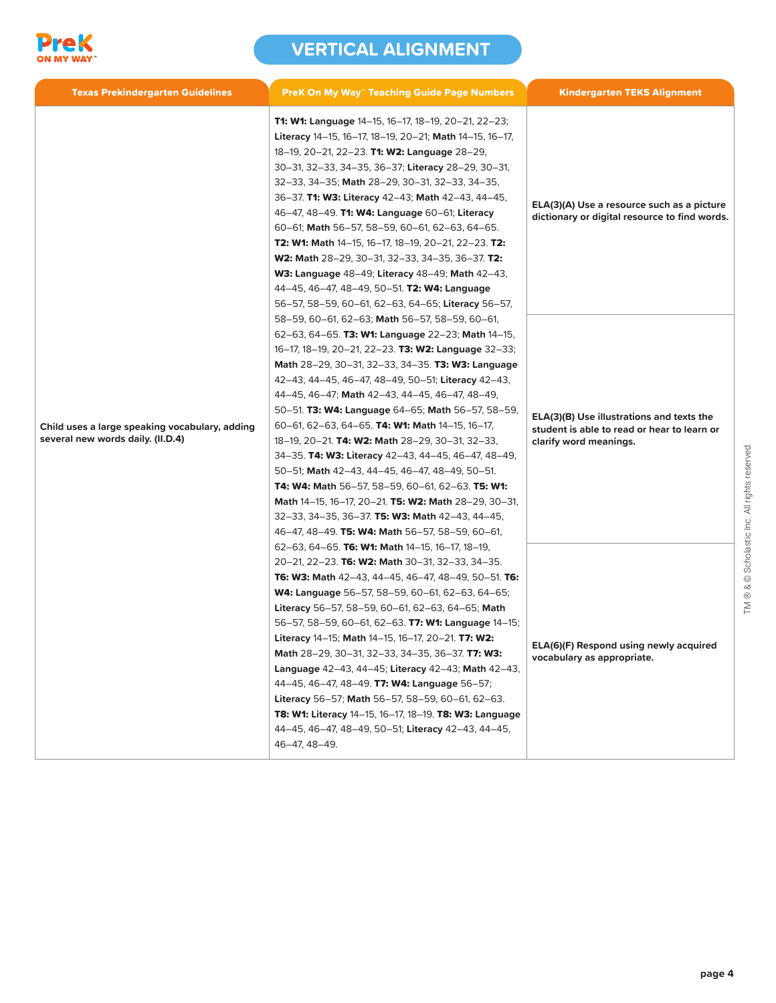

| <b>Texas Prekindergarten Guidelines</b>                                             | <b>PreK On My Way" Teaching Guide Page Numbers</b>                                                                                                                                                                                                                                                                                                                                                                                                                                                                                                                                                                                                                                                                                                                                                                                                     | <b>Kindergarten TEKS Alignment</b>                                                                                 |
|-------------------------------------------------------------------------------------|--------------------------------------------------------------------------------------------------------------------------------------------------------------------------------------------------------------------------------------------------------------------------------------------------------------------------------------------------------------------------------------------------------------------------------------------------------------------------------------------------------------------------------------------------------------------------------------------------------------------------------------------------------------------------------------------------------------------------------------------------------------------------------------------------------------------------------------------------------|--------------------------------------------------------------------------------------------------------------------|
|                                                                                     | <b>T1: W1: Language</b> 14-15, 16-17, 18-19, 20-21, 22-23;<br>Literacy 14-15, 16-17, 18-19, 20-21; Math 14-15, 16-17,<br>18-19, 20-21, 22-23. <b>T1: W2: Language</b> 28-29,<br>30-31, 32-33, 34-35, 36-37; Literacy 28-29, 30-31,<br>32-33, 34-35; Math 28-29, 30-31, 32-33, 34-35,<br>36-37. T1: W3: Literacy 42-43; Math 42-43, 44-45,<br>46-47, 48-49. T1: W4: Language 60-61; Literacy<br>60-61; Math 56-57, 58-59, 60-61, 62-63, 64-65.<br><b>T2: W1: Math 14-15, 16-17, 18-19, 20-21, 22-23. T2:</b><br>W2: Math 28-29, 30-31, 32-33, 34-35, 36-37. T2:<br><b>W3: Language 48–49; Literacy 48–49; Math 42–43,</b><br>44-45, 46-47, 48-49, 50-51. <b>T2: W4: Language</b><br>56-57, 58-59, 60-61, 62-63, 64-65; Literacy 56-57,                                                                                                                  | ELA(3)(A) Use a resource such as a picture<br>dictionary or digital resource to find words.                        |
| Child uses a large speaking vocabulary, adding<br>several new words daily. (II.D.4) | 58-59, 60-61, 62-63; Math 56-57, 58-59, 60-61,<br>62–63, 64–65. <b>T3: W1: Language</b> 22–23; Math 14–15,<br>16-17, 18-19, 20-21, 22-23. T3: W2: Language 32-33;<br>Math 28-29, 30-31, 32-33, 34-35. T3: W3: Language<br>42–43, 44–45, 46–47, 48–49, 50–51; Literacy 42–43,<br>$44-45, 46-47$ ; Math $42-43, 44-45, 46-47, 48-49$ ,<br>50–51. T3: W4: Language 64–65; Math 56–57, 58–59,<br>60–61, 62–63, 64–65. <b>T4: W1: Math</b> 14–15, 16–17,<br>18–19, 20–21. T4: W2: Math 28–29, 30–31, 32–33,<br>34–35. <b>T4: W3: Literacy</b> 42–43, 44–45, 46–47, 48–49,<br>50-51; Math 42-43, 44-45, 46-47, 48-49, 50-51.<br><b>T4: W4: Math 56–57, 58–59, 60–61, 62–63. T5: W1:</b><br><b>Math 14–15, 16–17, 20–21. T5: W2: Math 28–29, 30–31,</b><br>32–33, 34–35, 36–37. T5: W3: Math 42–43, 44–45,<br>46–47, 48–49. T5: W4: Math 56–57, 58–59, 60–61, | ELA(3)(B) Use illustrations and texts the<br>student is able to read or hear to learn or<br>clarify word meanings. |
|                                                                                     | 62–63, 64–65. T6: W1: Math $14$ –15, 16–17, 18–19,<br>20–21, 22–23. T6: W2: Math 30–31, 32–33, 34–35.<br><b>T6: W3: Math</b> 42–43, 44–45, 46–47, 48–49, 50–51. <b>T6:</b><br><b>W4: Language</b> 56–57, 58–59, 60–61, 62–63, 64–65;<br>Literacy 56-57, 58-59, 60-61, 62-63, 64-65; Math<br>56–57, 58–59, 60–61, 62–63. <b>T7: W1: Language</b> 14–15;<br>Literacy 14-15; Math 14-15, 16-17, 20-21. T7: W2:<br>Math 28-29, 30-31, 32-33, 34-35, 36-37. T7: W3:<br>Language 42-43, 44-45; Literacy 42-43; Math 42-43,<br>44-45, 46-47, 48-49. T7: W4: Language 56-57;<br>Literacy 56-57; Math 56-57, 58-59, 60-61, 62-63.<br>T8: W1: Literacy 14-15, 16-17, 18-19. T8: W3: Language<br>44-45, 46-47, 48-49, 50-51; Literacy 42-43, 44-45,<br>46-47, 48-49.                                                                                              | ELA(6)(F) Respond using newly acquired<br>vocabulary as appropriate.                                               |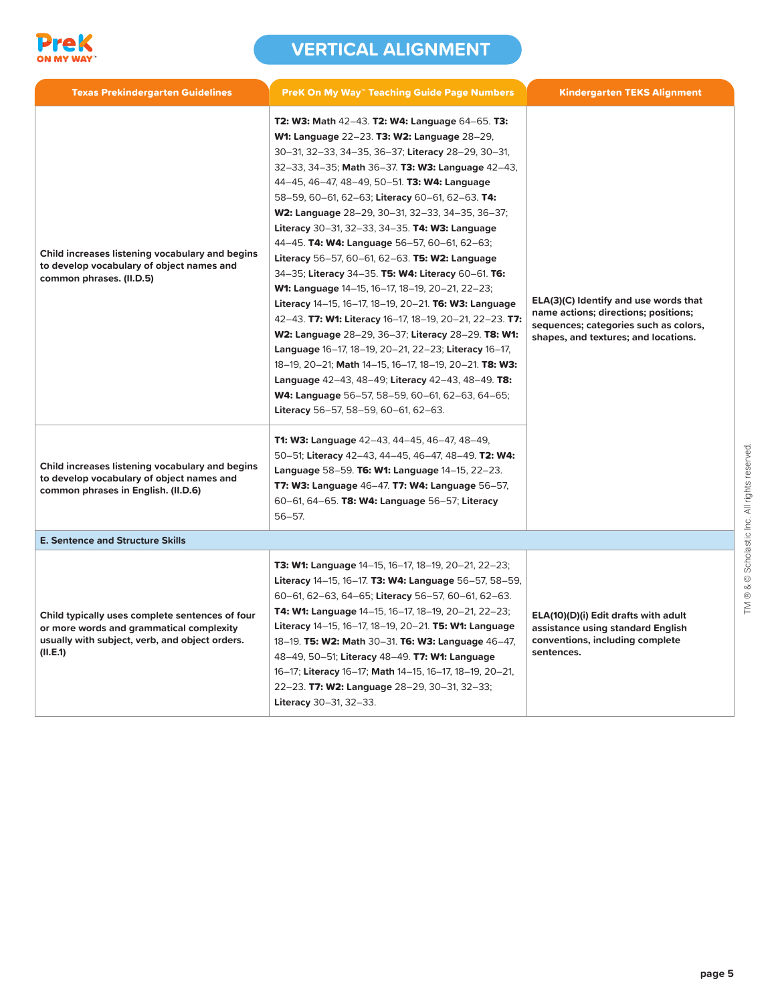

| <b>Texas Prekindergarten Guidelines</b>                                                                                                                   | <b>PreK On My Way" Teaching Guide Page Numbers</b>                                                                                                                                                                                                                                                                                                                                                                                                                                                                                                                                                                                                                                                                                                                                                                                                                                                                                                                                                                                                                       | <b>Kindergarten TEKS Alignment</b>                                                                                                                             |
|-----------------------------------------------------------------------------------------------------------------------------------------------------------|--------------------------------------------------------------------------------------------------------------------------------------------------------------------------------------------------------------------------------------------------------------------------------------------------------------------------------------------------------------------------------------------------------------------------------------------------------------------------------------------------------------------------------------------------------------------------------------------------------------------------------------------------------------------------------------------------------------------------------------------------------------------------------------------------------------------------------------------------------------------------------------------------------------------------------------------------------------------------------------------------------------------------------------------------------------------------|----------------------------------------------------------------------------------------------------------------------------------------------------------------|
| Child increases listening vocabulary and begins<br>to develop vocabulary of object names and<br>common phrases. (II.D.5)                                  | T2: W3: Math 42-43. T2: W4: Language 64-65. T3:<br>W1: Language 22-23. T3: W2: Language 28-29,<br>30-31, 32-33, 34-35, 36-37; Literacy 28-29, 30-31,<br>32-33, 34-35; Math 36-37. T3: W3: Language 42-43,<br>44-45, 46-47, 48-49, 50-51. T3: W4: Language<br>58-59, 60-61, 62-63; Literacy 60-61, 62-63. T4:<br>W2: Language 28-29, 30-31, 32-33, 34-35, 36-37;<br>Literacy 30-31, 32-33, 34-35. T4: W3: Language<br>44-45. T4: W4: Language 56-57, 60-61, 62-63;<br>Literacy 56-57, 60-61, 62-63. T5: W2: Language<br>34-35; Literacy 34-35. T5: W4: Literacy 60-61. T6:<br>W1: Language 14-15, 16-17, 18-19, 20-21, 22-23;<br>Literacy 14-15, 16-17, 18-19, 20-21. T6: W3: Language<br>42-43. T7: W1: Literacy 16-17, 18-19, 20-21, 22-23. T7:<br>W2: Language 28-29, 36-37; Literacy 28-29. T8: W1:<br>Language 16-17, 18-19, 20-21, 22-23; Literacy 16-17,<br>18-19, 20-21; Math 14-15, 16-17, 18-19, 20-21. T8: W3:<br>Language 42-43, 48-49; Literacy 42-43, 48-49. T8:<br>W4: Language 56-57, 58-59, 60-61, 62-63, 64-65;<br>Literacy 56-57, 58-59, 60-61, 62-63. | ELA(3)(C) Identify and use words that<br>name actions; directions; positions;<br>sequences; categories such as colors,<br>shapes, and textures; and locations. |
| Child increases listening vocabulary and begins<br>to develop vocabulary of object names and<br>common phrases in English. (II.D.6)                       | T1: W3: Language 42-43, 44-45, 46-47, 48-49,<br>50-51; Literacy 42-43, 44-45, 46-47, 48-49. T2: W4:<br>Language 58-59. T6: W1: Language 14-15, 22-23.<br>T7: W3: Language 46-47. T7: W4: Language 56-57,<br>60–61, 64–65. T8: W4: Language 56–57; Literacy<br>$56 - 57.$                                                                                                                                                                                                                                                                                                                                                                                                                                                                                                                                                                                                                                                                                                                                                                                                 |                                                                                                                                                                |
| <b>E. Sentence and Structure Skills</b>                                                                                                                   |                                                                                                                                                                                                                                                                                                                                                                                                                                                                                                                                                                                                                                                                                                                                                                                                                                                                                                                                                                                                                                                                          |                                                                                                                                                                |
| Child typically uses complete sentences of four<br>or more words and grammatical complexity<br>usually with subject, verb, and object orders.<br>(II.E.1) | <b>T3: W1: Language</b> 14-15, 16-17, 18-19, 20-21, 22-23;<br>Literacy 14-15, 16-17. T3: W4: Language 56-57, 58-59,<br>60-61, 62-63, 64-65; Literacy 56-57, 60-61, 62-63.<br><b>T4: W1: Language</b> 14-15, 16-17, 18-19, 20-21, 22-23;<br>Literacy 14–15, 16–17, 18–19, 20–21. T5: W1: Language<br>18-19. T5: W2: Math 30-31. T6: W3: Language 46-47,<br>48-49, 50-51; Literacy 48-49. T7: W1: Language<br>16-17; Literacy 16-17; Math 14-15, 16-17, 18-19, 20-21,<br>22-23. T7: W2: Language 28-29, 30-31, 32-33;<br>Literacy 30-31, 32-33.                                                                                                                                                                                                                                                                                                                                                                                                                                                                                                                            | ELA(10)(D)(i) Edit drafts with adult<br>assistance using standard English<br>conventions, including complete<br>sentences.                                     |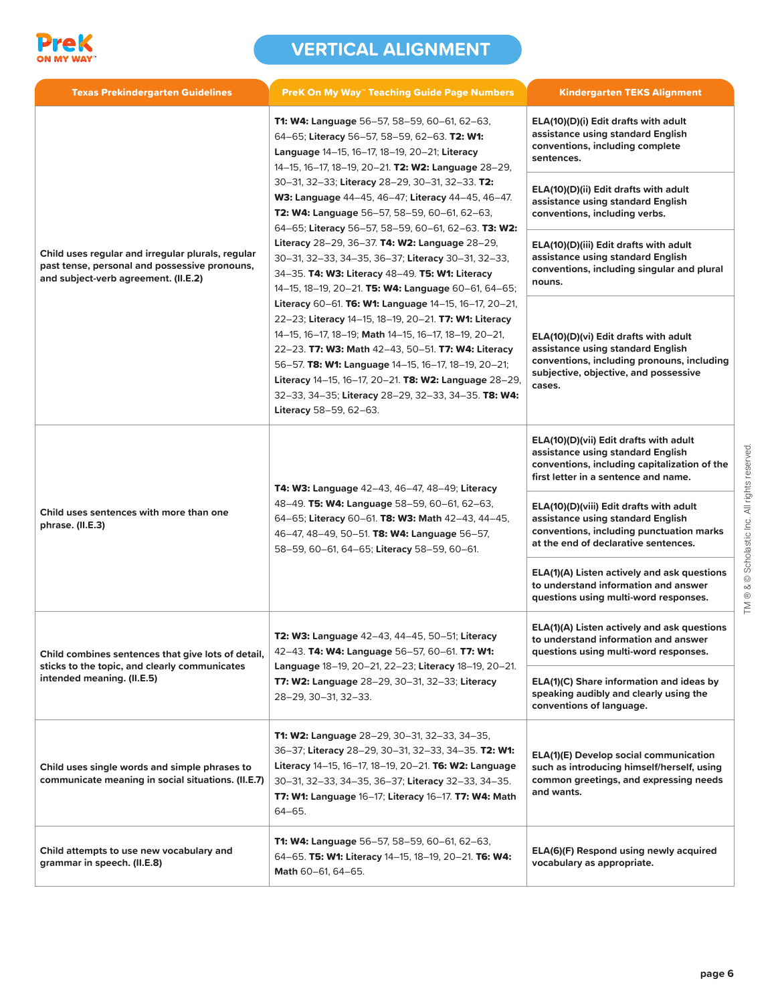

| <b>Texas Prekindergarten Guidelines</b>                                                                                                    | <b>PreK On My Way™ Teaching Guide Page Numbers</b>                                                                                                                                                                                                                                                                                                                                                                                                                                                                                                                                                                                                  | <b>Kindergarten TEKS Alignment</b>                                                                                                                                          |
|--------------------------------------------------------------------------------------------------------------------------------------------|-----------------------------------------------------------------------------------------------------------------------------------------------------------------------------------------------------------------------------------------------------------------------------------------------------------------------------------------------------------------------------------------------------------------------------------------------------------------------------------------------------------------------------------------------------------------------------------------------------------------------------------------------------|-----------------------------------------------------------------------------------------------------------------------------------------------------------------------------|
|                                                                                                                                            | <b>T1: W4: Language</b> 56–57, 58–59, 60–61, 62–63,<br>64-65; Literacy 56-57, 58-59, 62-63. T2: W1:<br>Language 14-15, 16-17, 18-19, 20-21; Literacy<br>14-15, 16-17, 18-19, 20-21. T2: W2: Language 28-29,<br>30-31, 32-33; Literacy 28-29, 30-31, 32-33. T2:<br>W3: Language 44-45, 46-47; Literacy 44-45, 46-47.<br>T2: W4: Language 56-57, 58-59, 60-61, 62-63,<br>64-65; Literacy 56-57, 58-59, 60-61, 62-63. T3: W2:<br>Literacy 28-29, 36-37. <b>T4: W2: Language 28-29,</b><br>30–31, 32–33, 34–35, 36–37; Literacy 30–31, 32–33,<br>34-35. T4: W3: Literacy 48-49. T5: W1: Literacy<br>14-15, 18-19, 20-21. T5: W4: Language 60-61, 64-65; | ELA(10)(D)(i) Edit drafts with adult<br>assistance using standard English<br>conventions, including complete<br>sentences.                                                  |
|                                                                                                                                            |                                                                                                                                                                                                                                                                                                                                                                                                                                                                                                                                                                                                                                                     | ELA(10)(D)(ii) Edit drafts with adult<br>assistance using standard English<br>conventions, including verbs.                                                                 |
| Child uses regular and irregular plurals, regular<br>past tense, personal and possessive pronouns,<br>and subject-verb agreement. (II.E.2) |                                                                                                                                                                                                                                                                                                                                                                                                                                                                                                                                                                                                                                                     | ELA(10)(D)(iii) Edit drafts with adult<br>assistance using standard English<br>conventions, including singular and plural<br>nouns.                                         |
|                                                                                                                                            | Literacy 60-61. T6: W1: Language 14-15, 16-17, 20-21,<br>22-23; Literacy 14-15, 18-19, 20-21. T7: W1: Literacy<br>14-15, 16-17, 18-19; Math 14-15, 16-17, 18-19, 20-21,<br>22-23. T7: W3: Math 42-43, 50-51. T7: W4: Literacy<br>56-57. T8: W1: Language 14-15, 16-17, 18-19, 20-21;<br>Literacy 14-15, 16-17, 20-21. T8: W2: Language 28-29,<br>32-33, 34-35; Literacy 28-29, 32-33, 34-35. T8: W4:<br>Literacy 58-59, 62-63.                                                                                                                                                                                                                      | ELA(10)(D)(vi) Edit drafts with adult<br>assistance using standard English<br>conventions, including pronouns, including<br>subjective, objective, and possessive<br>cases. |
| Child uses sentences with more than one<br>phrase. (II.E.3)                                                                                | <b>T4: W3: Language 42–43, 46–47, 48–49; Literacy</b><br>48-49. T5: W4: Language 58-59, 60-61, 62-63,<br>64-65; Literacy 60-61. T8: W3: Math 42-43, 44-45,<br>46-47, 48-49, 50-51. T8: W4: Language 56-57,<br>58-59, 60-61, 64-65; Literacy 58-59, 60-61.                                                                                                                                                                                                                                                                                                                                                                                           | ELA(10)(D)(vii) Edit drafts with adult<br>assistance using standard English<br>conventions, including capitalization of the<br>first letter in a sentence and name.         |
|                                                                                                                                            |                                                                                                                                                                                                                                                                                                                                                                                                                                                                                                                                                                                                                                                     | ELA(10)(D)(viii) Edit drafts with adult<br>assistance using standard English<br>conventions, including punctuation marks<br>at the end of declarative sentences.            |
|                                                                                                                                            |                                                                                                                                                                                                                                                                                                                                                                                                                                                                                                                                                                                                                                                     | ELA(1)(A) Listen actively and ask questions<br>to understand information and answer<br>questions using multi-word responses.                                                |
| Child combines sentences that give lots of detail,<br>sticks to the topic, and clearly communicates<br>intended meaning. (II.E.5)          | <b>T2: W3: Language 42–43, 44–45, 50–51; Literacy</b><br>42-43. T4: W4: Language 56-57, 60-61. T7: W1:<br>Language 18-19, 20-21, 22-23; Literacy 18-19, 20-21.                                                                                                                                                                                                                                                                                                                                                                                                                                                                                      | ELA(1)(A) Listen actively and ask questions<br>to understand information and answer<br>questions using multi-word responses.                                                |
|                                                                                                                                            | T7: W2: Language 28-29, 30-31, 32-33; Literacy<br>28-29, 30-31, 32-33.                                                                                                                                                                                                                                                                                                                                                                                                                                                                                                                                                                              | ELA(1)(C) Share information and ideas by<br>speaking audibly and clearly using the<br>conventions of language.                                                              |
| Child uses single words and simple phrases to<br>communicate meaning in social situations. (II.E.7)                                        | T1: W2: Language 28-29, 30-31, 32-33, 34-35,<br>36-37; Literacy 28-29, 30-31, 32-33, 34-35. T2: W1:<br>Literacy 14-15, 16-17, 18-19, 20-21. T6: W2: Language<br>30-31, 32-33, 34-35, 36-37; Literacy 32-33, 34-35.<br>T7: W1: Language 16-17; Literacy 16-17. T7: W4: Math<br>64-65.                                                                                                                                                                                                                                                                                                                                                                | <b>ELA(1)(E) Develop social communication</b><br>such as introducing himself/herself, using<br>common greetings, and expressing needs<br>and wants.                         |
| Child attempts to use new vocabulary and<br>grammar in speech. (II.E.8)                                                                    | <b>T1: W4: Language</b> 56–57, 58–59, 60–61, 62–63,<br>64-65. T5: W1: Literacy 14-15, 18-19, 20-21. T6: W4:<br>Math 60-61, 64-65.                                                                                                                                                                                                                                                                                                                                                                                                                                                                                                                   | ELA(6)(F) Respond using newly acquired<br>vocabulary as appropriate.                                                                                                        |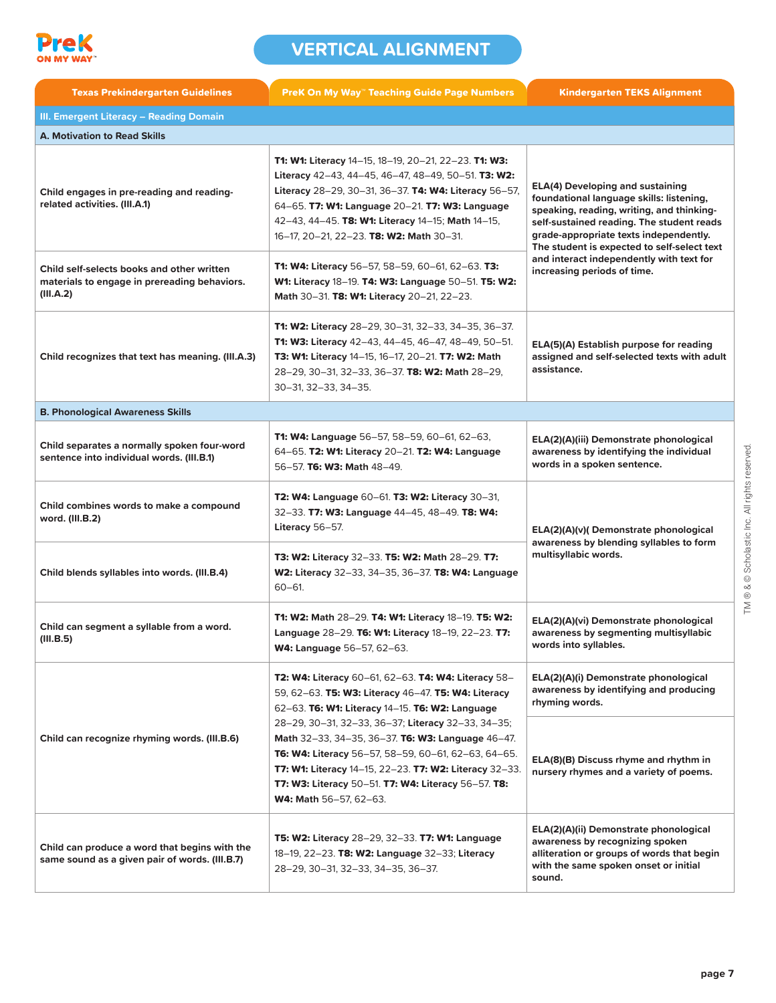

| <b>Texas Prekindergarten Guidelines</b>                                                                 | <b>PreK On My Way™ Teaching Guide Page Numbers</b>                                                                                                                                                                                                                                                                       | <b>Kindergarten TEKS Alignment</b>                                                                                                                                                                                                                                                                                                                |
|---------------------------------------------------------------------------------------------------------|--------------------------------------------------------------------------------------------------------------------------------------------------------------------------------------------------------------------------------------------------------------------------------------------------------------------------|---------------------------------------------------------------------------------------------------------------------------------------------------------------------------------------------------------------------------------------------------------------------------------------------------------------------------------------------------|
| <b>III. Emergent Literacy - Reading Domain</b>                                                          |                                                                                                                                                                                                                                                                                                                          |                                                                                                                                                                                                                                                                                                                                                   |
| <b>A. Motivation to Read Skills</b>                                                                     |                                                                                                                                                                                                                                                                                                                          |                                                                                                                                                                                                                                                                                                                                                   |
| Child engages in pre-reading and reading-<br>related activities. (III.A.1)                              | T1: W1: Literacy 14-15, 18-19, 20-21, 22-23. T1: W3:<br>Literacy 42-43, 44-45, 46-47, 48-49, 50-51. T3: W2:<br>Literacy 28-29, 30-31, 36-37. T4: W4: Literacy 56-57,<br>64–65. T7: W1: Language 20–21. T7: W3: Language<br>42-43, 44-45. T8: W1: Literacy 14-15; Math 14-15,<br>16-17, 20-21, 22-23. T8: W2: Math 30-31. | <b>ELA(4) Developing and sustaining</b><br>foundational language skills: listening,<br>speaking, reading, writing, and thinking-<br>self-sustained reading. The student reads<br>grade-appropriate texts independently.<br>The student is expected to self-select text<br>and interact independently with text for<br>increasing periods of time. |
| Child self-selects books and other written<br>materials to engage in prereading behaviors.<br>(III.A.2) | <b>T1: W4: Literacy</b> 56-57, 58-59, 60-61, 62-63. T3:<br>W1: Literacy 18-19. T4: W3: Language 50-51. T5: W2:<br>Math 30-31. T8: W1: Literacy 20-21, 22-23.                                                                                                                                                             |                                                                                                                                                                                                                                                                                                                                                   |
| Child recognizes that text has meaning. (III.A.3)                                                       | T1: W2: Literacy 28-29, 30-31, 32-33, 34-35, 36-37.<br>T1: W3: Literacy 42-43, 44-45, 46-47, 48-49, 50-51.<br><b>T3: W1: Literacy 14-15, 16-17, 20-21. T7: W2: Math</b><br>28-29, 30-31, 32-33, 36-37. T8: W2: Math 28-29,<br>30-31, 32-33, 34-35.                                                                       | ELA(5)(A) Establish purpose for reading<br>assigned and self-selected texts with adult<br>assistance.                                                                                                                                                                                                                                             |
| <b>B. Phonological Awareness Skills</b>                                                                 |                                                                                                                                                                                                                                                                                                                          |                                                                                                                                                                                                                                                                                                                                                   |
| Child separates a normally spoken four-word<br>sentence into individual words. (III.B.1)                | T1: W4: Language 56-57, 58-59, 60-61, 62-63,<br>64-65. T2: W1: Literacy 20-21. T2: W4: Language<br>56-57. T6: W3: Math 48-49.                                                                                                                                                                                            | ELA(2)(A)(iii) Demonstrate phonological<br>awareness by identifying the individual<br>words in a spoken sentence.                                                                                                                                                                                                                                 |
| Child combines words to make a compound<br>word. (III.B.2)                                              | T2: W4: Language 60-61. T3: W2: Literacy 30-31,<br>32-33. T7: W3: Language 44-45, 48-49. T8: W4:<br>Literacy 56-57.                                                                                                                                                                                                      | ELA(2)(A)(v)(Demonstrate phonological<br>awareness by blending syllables to form<br>multisyllabic words.                                                                                                                                                                                                                                          |
| Child blends syllables into words. (III.B.4)                                                            | <b>T3: W2: Literacy 32-33. T5: W2: Math 28-29. T7:</b><br>W2: Literacy 32-33, 34-35, 36-37. T8: W4: Language<br>$60 - 61$ .                                                                                                                                                                                              |                                                                                                                                                                                                                                                                                                                                                   |
| Child can segment a syllable from a word.<br>(III.B.5)                                                  | <b>T1: W2: Math 28-29. T4: W1: Literacy 18-19. T5: W2:</b><br>Language 28-29. T6: W1: Literacy 18-19, 22-23. T7:<br>W4: Language 56-57, 62-63.                                                                                                                                                                           | ELA(2)(A)(vi) Demonstrate phonological<br>awareness by segmenting multisyllabic<br>words into syllables.                                                                                                                                                                                                                                          |
|                                                                                                         | T2: W4: Literacy 60-61, 62-63. T4: W4: Literacy 58-<br>59, 62-63. T5: W3: Literacy 46-47. T5: W4: Literacy<br>62-63. T6: W1: Literacy 14-15. T6: W2: Language                                                                                                                                                            | ELA(2)(A)(i) Demonstrate phonological<br>awareness by identifying and producing<br>rhyming words.                                                                                                                                                                                                                                                 |
| Child can recognize rhyming words. (III.B.6)                                                            | 28-29, 30-31, 32-33, 36-37; Literacy 32-33, 34-35;<br>Math 32-33, 34-35, 36-37. T6: W3: Language 46-47.<br>T6: W4: Literacy 56-57, 58-59, 60-61, 62-63, 64-65.<br>T7: W1: Literacy 14-15, 22-23. T7: W2: Literacy 32-33.<br>T7: W3: Literacy 50-51. T7: W4: Literacy 56-57. T8:<br>W4: Math 56-57, 62-63.                | ELA(8)(B) Discuss rhyme and rhythm in<br>nursery rhymes and a variety of poems.                                                                                                                                                                                                                                                                   |
| Child can produce a word that begins with the<br>same sound as a given pair of words. (III.B.7)         | T5: W2: Literacy 28-29, 32-33. T7: W1: Language<br>18-19, 22-23. T8: W2: Language 32-33; Literacy<br>28-29, 30-31, 32-33, 34-35, 36-37.                                                                                                                                                                                  | ELA(2)(A)(ii) Demonstrate phonological<br>awareness by recognizing spoken<br>alliteration or groups of words that begin<br>with the same spoken onset or initial<br>sound.                                                                                                                                                                        |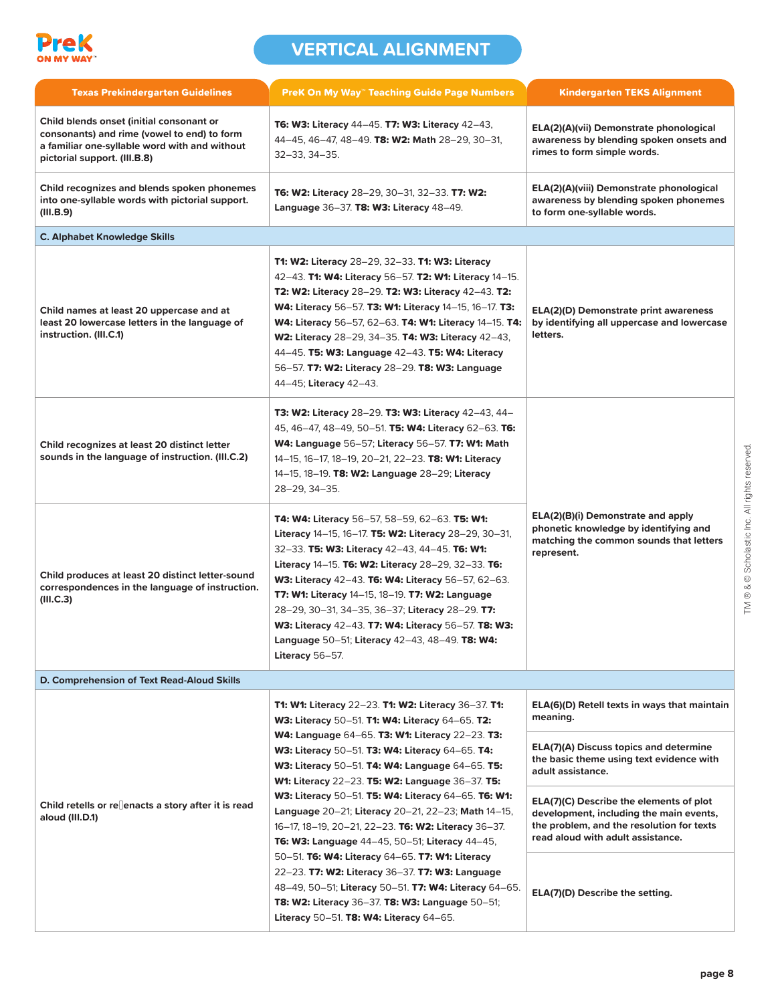

| <b>Texas Prekindergarten Guidelines</b>                                                                                                                                  | <b>PreK On My Way™ Teaching Guide Page Numbers</b>                                                                                                                                                                                                                                                                                                                                                                                                                                                                                | <b>Kindergarten TEKS Alignment</b>                                                                                                                                   |
|--------------------------------------------------------------------------------------------------------------------------------------------------------------------------|-----------------------------------------------------------------------------------------------------------------------------------------------------------------------------------------------------------------------------------------------------------------------------------------------------------------------------------------------------------------------------------------------------------------------------------------------------------------------------------------------------------------------------------|----------------------------------------------------------------------------------------------------------------------------------------------------------------------|
| Child blends onset (initial consonant or<br>consonants) and rime (vowel to end) to form<br>a familiar one-syllable word with and without<br>pictorial support. (III.B.8) | T6: W3: Literacy 44-45. T7: W3: Literacy 42-43.<br>44-45, 46-47, 48-49. T8: W2: Math 28-29, 30-31,<br>$32 - 33, 34 - 35.$                                                                                                                                                                                                                                                                                                                                                                                                         | ELA(2)(A)(vii) Demonstrate phonological<br>awareness by blending spoken onsets and<br>rimes to form simple words.                                                    |
| Child recognizes and blends spoken phonemes<br>into one-syllable words with pictorial support.<br>(III.B.9)                                                              | <b>T6: W2: Literacy</b> 28-29, 30-31, 32-33. <b>T7: W2:</b><br>Language 36-37. T8: W3: Literacy 48-49.                                                                                                                                                                                                                                                                                                                                                                                                                            | ELA(2)(A)(viii) Demonstrate phonological<br>awareness by blending spoken phonemes<br>to form one-syllable words.                                                     |
| <b>C. Alphabet Knowledge Skills</b>                                                                                                                                      |                                                                                                                                                                                                                                                                                                                                                                                                                                                                                                                                   |                                                                                                                                                                      |
| Child names at least 20 uppercase and at<br>least 20 lowercase letters in the language of<br>instruction. (III.C.1)                                                      | T1: W2: Literacy 28-29, 32-33. T1: W3: Literacy<br>42-43. T1: W4: Literacy 56-57. T2: W1: Literacy 14-15.<br>T2: W2: Literacy 28-29. T2: W3: Literacy 42-43. T2:<br>W4: Literacy 56-57. T3: W1: Literacy 14-15, 16-17. T3:<br>W4: Literacy 56-57, 62-63. T4: W1: Literacy 14-15. T4:<br>W2: Literacy 28-29, 34-35. T4: W3: Literacy 42-43,<br>44-45. T5: W3: Language 42-43. T5: W4: Literacy<br>56-57. T7: W2: Literacy 28-29. T8: W3: Language<br>44-45; Literacy 42-43.                                                        | ELA(2)(D) Demonstrate print awareness<br>by identifying all uppercase and lowercase<br>letters.                                                                      |
| Child recognizes at least 20 distinct letter<br>sounds in the language of instruction. (III.C.2)                                                                         | T3: W2: Literacy 28-29. T3: W3: Literacy 42-43, 44-<br>45, 46–47, 48–49, 50–51. <b>T5: W4: Literacy</b> 62–63. <b>T6:</b><br>W4: Language 56-57; Literacy 56-57. T7: W1: Math<br>14-15, 16-17, 18-19, 20-21, 22-23. T8: W1: Literacy<br>14-15, 18-19. T8: W2: Language 28-29; Literacy<br>28-29, 34-35.                                                                                                                                                                                                                           |                                                                                                                                                                      |
| Child produces at least 20 distinct letter-sound<br>correspondences in the language of instruction.<br>(III.C.3)                                                         | <b>T4: W4: Literacy</b> 56-57, 58-59, 62-63. <b>T5: W1:</b><br><b>Literacy</b> 14-15, 16-17. <b>T5: W2: Literacy</b> 28-29, 30-31,<br>32-33. T5: W3: Literacy 42-43, 44-45. T6: W1:<br>Literacy 14-15. T6: W2: Literacy 28-29, 32-33. T6:<br>W3: Literacy 42-43. T6: W4: Literacy 56-57, 62-63.<br>T7: W1: Literacy 14-15, 18-19. T7: W2: Language<br>28-29, 30-31, 34-35, 36-37; Literacy 28-29. T7:<br>W3: Literacy 42-43. T7: W4: Literacy 56-57. T8: W3:<br>Language 50-51; Literacy 42-43, 48-49. T8: W4:<br>Literacy 56-57. | ELA(2)(B)(i) Demonstrate and apply<br>phonetic knowledge by identifying and<br>matching the common sounds that letters<br>represent.                                 |
| D. Comprehension of Text Read-Aloud Skills                                                                                                                               |                                                                                                                                                                                                                                                                                                                                                                                                                                                                                                                                   |                                                                                                                                                                      |
|                                                                                                                                                                          | T1: W1: Literacy 22-23. T1: W2: Literacy 36-37. T1:<br>W3: Literacy 50-51. T1: W4: Literacy 64-65. T2:                                                                                                                                                                                                                                                                                                                                                                                                                            | ELA(6)(D) Retell texts in ways that maintain<br>meaning.                                                                                                             |
| Child retells or re enacts a story after it is read<br>aloud (III.D.1)                                                                                                   | <b>W4: Language 64–65. T3: W1: Literacy 22–23. T3:</b><br>W3: Literacy 50-51. T3: W4: Literacy 64-65. T4:<br>W3: Literacy 50-51. T4: W4: Language 64-65. T5:<br><b>W1: Literacy 22–23. T5: W2: Language 36–37. T5:</b>                                                                                                                                                                                                                                                                                                            | ELA(7)(A) Discuss topics and determine<br>the basic theme using text evidence with<br>adult assistance.                                                              |
|                                                                                                                                                                          | W3: Literacy 50-51. T5: W4: Literacy 64-65. T6: W1:<br>Language 20-21; Literacy 20-21, 22-23; Math 14-15,<br>16-17, 18-19, 20-21, 22-23. T6: W2: Literacy 36-37.<br><b>T6: W3: Language 44–45, 50–51; Literacy 44–45,</b>                                                                                                                                                                                                                                                                                                         | ELA(7)(C) Describe the elements of plot<br>development, including the main events,<br>the problem, and the resolution for texts<br>read aloud with adult assistance. |
|                                                                                                                                                                          | 50-51. T6: W4: Literacy 64-65. T7: W1: Literacy<br>22-23. T7: W2: Literacy 36-37. T7: W3: Language<br>48-49, 50-51; Literacy 50-51. T7: W4: Literacy 64-65.<br><b>T8: W2: Literacy 36-37. T8: W3: Language 50-51;</b><br>Literacy 50-51. T8: W4: Literacy 64-65.                                                                                                                                                                                                                                                                  | ELA(7)(D) Describe the setting.                                                                                                                                      |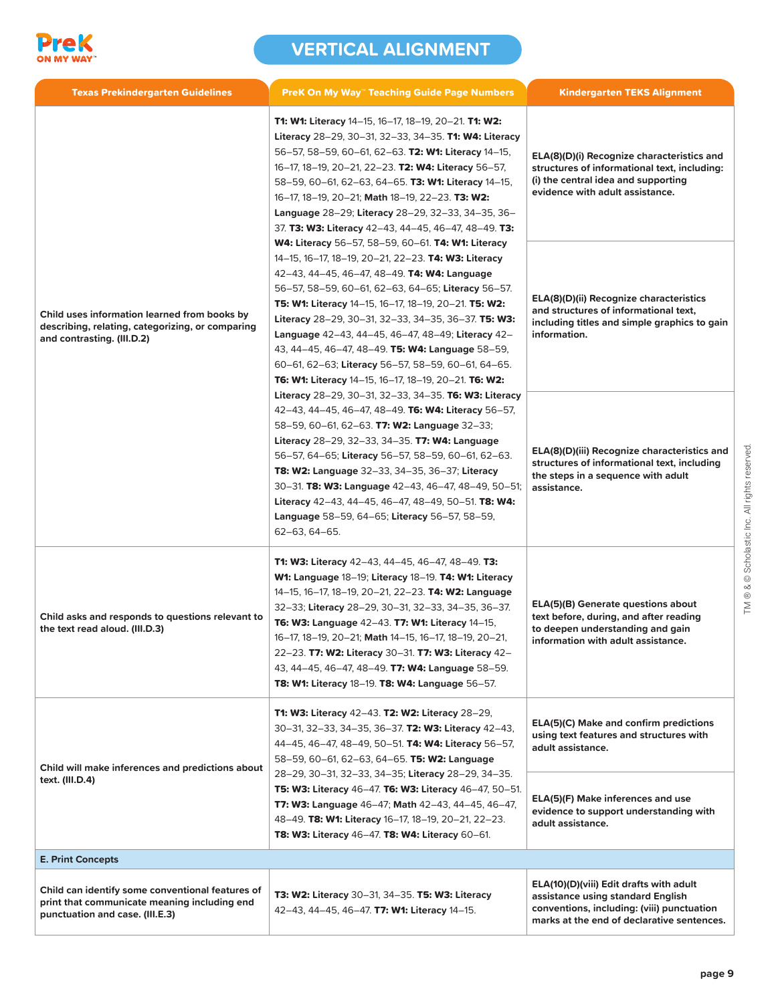

| <b>Texas Prekindergarten Guidelines</b>                                                                                             | <b>PreK On My Way" Teaching Guide Page Numbers</b>                                                                                                                                                                                                                                                                                                                                                                                                                                                                                                                                              | <b>Kindergarten TEKS Alignment</b>                                                                                                                                       |
|-------------------------------------------------------------------------------------------------------------------------------------|-------------------------------------------------------------------------------------------------------------------------------------------------------------------------------------------------------------------------------------------------------------------------------------------------------------------------------------------------------------------------------------------------------------------------------------------------------------------------------------------------------------------------------------------------------------------------------------------------|--------------------------------------------------------------------------------------------------------------------------------------------------------------------------|
| Child uses information learned from books by<br>describing, relating, categorizing, or comparing<br>and contrasting. (III.D.2)      | T1: W1: Literacy 14-15, 16-17, 18-19, 20-21. T1: W2:<br>Literacy 28-29, 30-31, 32-33, 34-35. <b>T1: W4: Literacy</b><br>56-57, 58-59, 60-61, 62-63. T2: W1: Literacy 14-15,<br>16-17, 18-19, 20-21, 22-23. T2: W4: Literacy 56-57,<br>58-59, 60-61, 62-63, 64-65. T3: W1: Literacy 14-15,<br>16-17, 18-19, 20-21; Math 18-19, 22-23. T3: W2:<br>Language 28-29; Literacy 28-29, 32-33, 34-35, 36-<br>37. T3: W3: Literacy 42-43, 44-45, 46-47, 48-49. T3:                                                                                                                                       | ELA(8)(D)(i) Recognize characteristics and<br>structures of informational text, including:<br>(i) the central idea and supporting<br>evidence with adult assistance.     |
|                                                                                                                                     | <b>W4: Literacy 56-57, 58-59, 60-61. T4: W1: Literacy</b><br>14-15, 16-17, 18-19, 20-21, 22-23. T4: W3: Literacy<br>42–43, 44–45, 46–47, 48–49. <b>T4: W4: Language</b><br>56-57, 58-59, 60-61, 62-63, 64-65; Literacy 56-57.<br><b>T5: W1: Literacy</b> 14-15, 16-17, 18-19, 20-21. <b>T5: W2:</b><br>Literacy 28-29, 30-31, 32-33, 34-35, 36-37. T5: W3:<br>Language 42-43, 44-45, 46-47, 48-49; Literacy 42-<br>43, 44–45, 46–47, 48–49. T5: W4: Language 58–59,<br>60-61, 62-63; Literacy 56-57, 58-59, 60-61, 64-65.<br><b>T6: W1: Literacy</b> 14–15, 16–17, 18–19, 20–21. <b>T6: W2:</b> | ELA(8)(D)(ii) Recognize characteristics<br>and structures of informational text,<br>including titles and simple graphics to gain<br>information.                         |
|                                                                                                                                     | Literacy 28-29, 30-31, 32-33, 34-35. T6: W3: Literacy<br>42-43, 44-45, 46-47, 48-49. T6: W4: Literacy 56-57,<br>58-59, 60-61, 62-63. <b>T7: W2: Language</b> 32-33;<br>Literacy 28-29, 32-33, 34-35. T7: W4: Language<br>56-57, 64-65; Literacy 56-57, 58-59, 60-61, 62-63.<br>T8: W2: Language 32-33, 34-35, 36-37; Literacy<br>30-31. T8: W3: Language 42-43, 46-47, 48-49, 50-51;<br>Literacy 42-43, 44-45, 46-47, 48-49, 50-51. T8: W4:<br>Language 58-59, 64-65; Literacy 56-57, 58-59,<br>62-63, 64-65.                                                                                   | ELA(8)(D)(iii) Recognize characteristics and<br>structures of informational text, including<br>the steps in a sequence with adult<br>assistance.                         |
| Child asks and responds to questions relevant to<br>the text read aloud. (III.D.3)                                                  | <b>T1: W3: Literacy</b> 42-43, 44-45, 46-47, 48-49. <b>T3:</b><br>W1: Language 18-19; Literacy 18-19. T4: W1: Literacy<br>14-15, 16-17, 18-19, 20-21, 22-23. T4: W2: Language<br>32-33; Literacy 28-29, 30-31, 32-33, 34-35, 36-37.<br>T6: W3: Language 42-43. T7: W1: Literacy 14-15,<br>16-17, 18-19, 20-21; Math 14-15, 16-17, 18-19, 20-21,<br>22-23. T7: W2: Literacy 30-31. T7: W3: Literacy 42-<br>43, 44-45, 46-47, 48-49. T7: W4: Language 58-59.<br><b>T8: W1: Literacy 18-19. T8: W4: Language 56-57.</b>                                                                            | <b>ELA(5)(B) Generate questions about</b><br>text before, during, and after reading<br>to deepen understanding and gain<br>information with adult assistance.            |
| Child will make inferences and predictions about<br>text. (III.D.4)                                                                 | <b>T1: W3: Literacy 42-43. T2: W2: Literacy 28-29,</b><br>30-31, 32-33, 34-35, 36-37. T2: W3: Literacy 42-43,<br>44-45, 46-47, 48-49, 50-51. T4: W4: Literacy 56-57,<br>58-59, 60-61, 62-63, 64-65. T5: W2: Language                                                                                                                                                                                                                                                                                                                                                                            | ELA(5)(C) Make and confirm predictions<br>using text features and structures with<br>adult assistance.                                                                   |
|                                                                                                                                     | 28-29, 30-31, 32-33, 34-35; Literacy 28-29, 34-35.<br>T5: W3: Literacy 46-47. T6: W3: Literacy 46-47, 50-51.<br>T7: W3: Language 46-47; Math 42-43, 44-45, 46-47,<br>48-49. T8: W1: Literacy 16-17, 18-19, 20-21, 22-23.<br>T8: W3: Literacy 46-47. T8: W4: Literacy 60-61.                                                                                                                                                                                                                                                                                                                     | ELA(5)(F) Make inferences and use<br>evidence to support understanding with<br>adult assistance.                                                                         |
| <b>E. Print Concepts</b>                                                                                                            |                                                                                                                                                                                                                                                                                                                                                                                                                                                                                                                                                                                                 |                                                                                                                                                                          |
| Child can identify some conventional features of<br>print that communicate meaning including end<br>punctuation and case. (III.E.3) | <b>T3: W2: Literacy 30-31, 34-35. T5: W3: Literacy</b><br>42-43, 44-45, 46-47. T7: W1: Literacy 14-15.                                                                                                                                                                                                                                                                                                                                                                                                                                                                                          | ELA(10)(D)(viii) Edit drafts with adult<br>assistance using standard English<br>conventions, including: (viii) punctuation<br>marks at the end of declarative sentences. |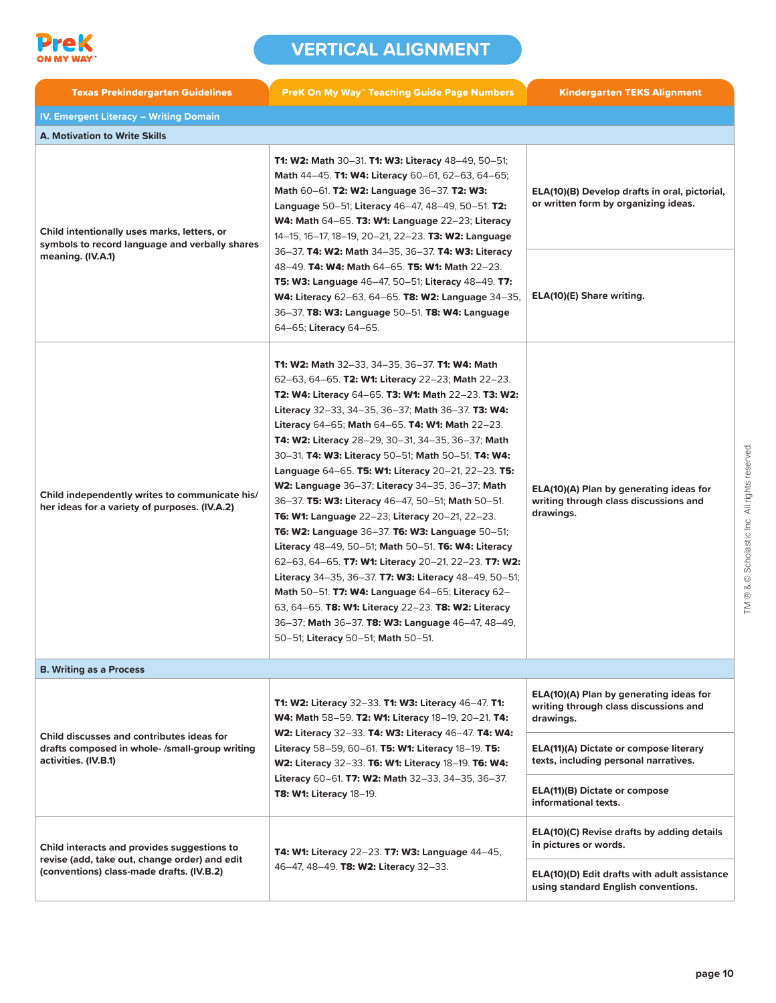

| <b>Texas Prekindergarten Guidelines</b>                                                                                                   | <b>PreK On My Way" Teaching Guide Page Numbers</b>                                                                                                                                                                                                                                                                                                                                                                                                                                                                                                                                                                                                                                                                                                                                                                                                                                                                                                                                                                                           | <b>Kindergarten TEKS Alignment</b>                                                            |
|-------------------------------------------------------------------------------------------------------------------------------------------|----------------------------------------------------------------------------------------------------------------------------------------------------------------------------------------------------------------------------------------------------------------------------------------------------------------------------------------------------------------------------------------------------------------------------------------------------------------------------------------------------------------------------------------------------------------------------------------------------------------------------------------------------------------------------------------------------------------------------------------------------------------------------------------------------------------------------------------------------------------------------------------------------------------------------------------------------------------------------------------------------------------------------------------------|-----------------------------------------------------------------------------------------------|
| <b>IV. Emergent Literacy - Writing Domain</b>                                                                                             |                                                                                                                                                                                                                                                                                                                                                                                                                                                                                                                                                                                                                                                                                                                                                                                                                                                                                                                                                                                                                                              |                                                                                               |
| <b>A. Motivation to Write Skills</b>                                                                                                      |                                                                                                                                                                                                                                                                                                                                                                                                                                                                                                                                                                                                                                                                                                                                                                                                                                                                                                                                                                                                                                              |                                                                                               |
| Child intentionally uses marks, letters, or<br>symbols to record language and verbally shares<br>meaning. (IV.A.1)                        | <b>T1: W2: Math 30-31. T1: W3: Literacy 48-49, 50-51;</b><br>Math 44-45. T1: W4: Literacy 60-61, 62-63, 64-65;<br>Math 60–61. T2: W2: Language 36–37. T2: W3:<br>Language 50-51; Literacy 46-47, 48-49, 50-51. T2:<br><b>W4: Math 64–65. T3: W1: Language 22–23; Literacy</b><br>14-15, 16-17, 18-19, 20-21, 22-23. T3: W2: Language                                                                                                                                                                                                                                                                                                                                                                                                                                                                                                                                                                                                                                                                                                         | ELA(10)(B) Develop drafts in oral, pictorial,<br>or written form by organizing ideas.         |
|                                                                                                                                           | 36-37. T4: W2: Math 34-35, 36-37. T4: W3: Literacy<br>48-49. T4: W4: Math 64-65. T5: W1: Math 22-23.<br><b>T5: W3: Language 46–47, 50–51; Literacy 48–49. T7:</b><br><b>W4: Literacy 62–63, 64–65. T8: W2: Language 34–35,</b><br>36-37. T8: W3: Language 50-51. T8: W4: Language<br>64-65; Literacy 64-65.                                                                                                                                                                                                                                                                                                                                                                                                                                                                                                                                                                                                                                                                                                                                  | ELA(10)(E) Share writing.                                                                     |
| Child independently writes to communicate his/<br>her ideas for a variety of purposes. (IV.A.2)                                           | T1: W2: Math 32-33, 34-35, 36-37. T1: W4: Math<br>62-63, 64-65. T2: W1: Literacy 22-23; Math 22-23.<br>T2: W4: Literacy 64-65. T3: W1: Math 22-23. T3: W2:<br>Literacy 32-33, 34-35, 36-37; Math 36-37. T3: W4:<br>Literacy 64-65; Math 64-65. T4: W1: Math 22-23.<br>T4: W2: Literacy 28-29, 30-31, 34-35, 36-37; Math<br>30-31. T4: W3: Literacy 50-51; Math 50-51. T4: W4:<br>Language 64–65. T5: W1: Literacy 20–21, 22–23. T5:<br>W2: Language 36-37; Literacy 34-35, 36-37; Math<br>36-37. T5: W3: Literacy 46-47, 50-51; Math 50-51.<br><b>T6: W1: Language 22–23; Literacy 20–21, 22–23.</b><br>T6: W2: Language 36-37. T6: W3: Language 50-51;<br>Literacy 48-49, 50-51; Math 50-51. T6: W4: Literacy<br>62-63, 64-65. T7: W1: Literacy 20-21, 22-23. T7: W2:<br>Literacy 34-35, 36-37. T7: W3: Literacy 48-49, 50-51;<br>Math 50-51. <b>T7: W4: Language 64-65; Literacy 62-</b><br>63, 64–65. T8: W1: Literacy 22–23. T8: W2: Literacy<br>36-37; Math 36-37. T8: W3: Language 46-47, 48-49,<br>50-51; Literacy 50-51; Math 50-51. | ELA(10)(A) Plan by generating ideas for<br>writing through class discussions and<br>drawings. |
| <b>B. Writing as a Process</b>                                                                                                            |                                                                                                                                                                                                                                                                                                                                                                                                                                                                                                                                                                                                                                                                                                                                                                                                                                                                                                                                                                                                                                              |                                                                                               |
| Child discusses and contributes ideas for<br>drafts composed in whole-/small-group writing<br>activities. (IV.B.1)                        | <b>T1: W2: Literacy 32-33. T1: W3: Literacy 46-47. T1:</b><br>W4: Math 58-59. T2: W1: Literacy 18-19, 20-21. T4:<br>W2: Literacy 32-33. T4: W3: Literacy 46-47. T4: W4:<br>Literacy 58-59, 60-61. T5: W1: Literacy 18-19. T5:<br>W2: Literacy 32-33. T6: W1: Literacy 18-19. T6: W4:                                                                                                                                                                                                                                                                                                                                                                                                                                                                                                                                                                                                                                                                                                                                                         | ELA(10)(A) Plan by generating ideas for<br>writing through class discussions and<br>drawings. |
|                                                                                                                                           |                                                                                                                                                                                                                                                                                                                                                                                                                                                                                                                                                                                                                                                                                                                                                                                                                                                                                                                                                                                                                                              | ELA(11)(A) Dictate or compose literary<br>texts, including personal narratives.               |
|                                                                                                                                           | Literacy 60-61. T7: W2: Math 32-33, 34-35, 36-37.<br>T8: W1: Literacy 18-19.                                                                                                                                                                                                                                                                                                                                                                                                                                                                                                                                                                                                                                                                                                                                                                                                                                                                                                                                                                 | ELA(11)(B) Dictate or compose<br>informational texts.                                         |
| Child interacts and provides suggestions to<br>revise (add, take out, change order) and edit<br>(conventions) class-made drafts. (IV.B.2) | T4: W1: Literacy 22-23. T7: W3: Language 44-45,                                                                                                                                                                                                                                                                                                                                                                                                                                                                                                                                                                                                                                                                                                                                                                                                                                                                                                                                                                                              | ELA(10)(C) Revise drafts by adding details<br>in pictures or words.                           |
|                                                                                                                                           | 46-47, 48-49. T8: W2: Literacy 32-33.                                                                                                                                                                                                                                                                                                                                                                                                                                                                                                                                                                                                                                                                                                                                                                                                                                                                                                                                                                                                        | ELA(10)(D) Edit drafts with adult assistance<br>using standard English conventions.           |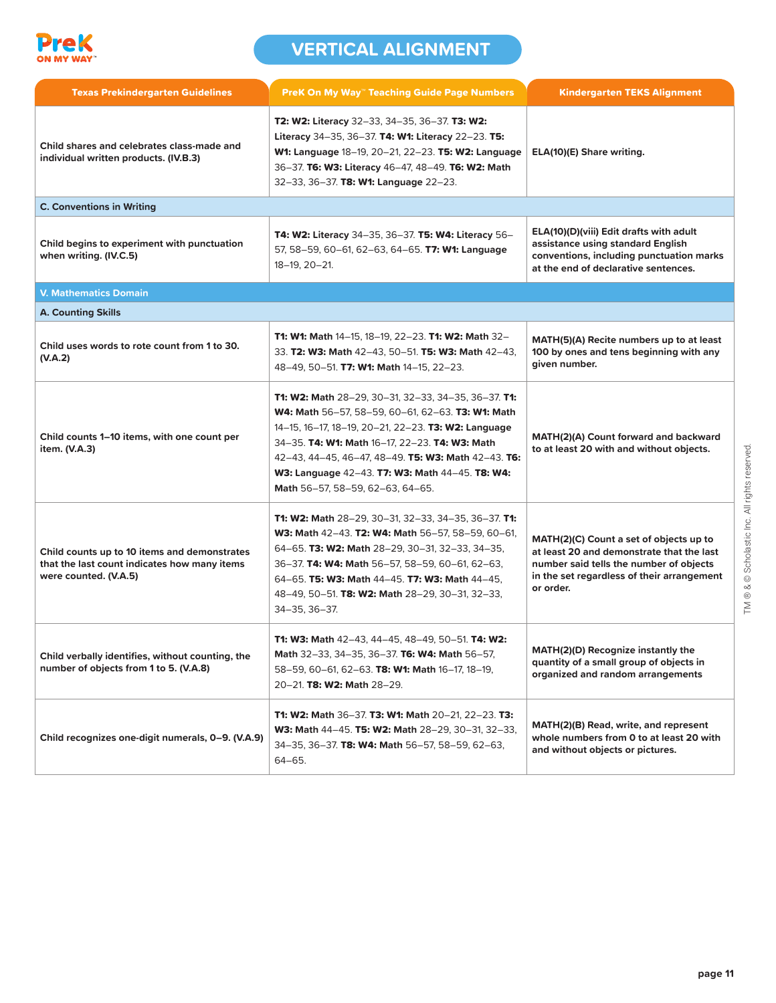

| <b>Texas Prekindergarten Guidelines</b>                                                                               | <b>PreK On My Way" Teaching Guide Page Numbers</b>                                                                                                                                                                                                                                                                                                                                   | <b>Kindergarten TEKS Alignment</b>                                                                                                                                                         |
|-----------------------------------------------------------------------------------------------------------------------|--------------------------------------------------------------------------------------------------------------------------------------------------------------------------------------------------------------------------------------------------------------------------------------------------------------------------------------------------------------------------------------|--------------------------------------------------------------------------------------------------------------------------------------------------------------------------------------------|
| Child shares and celebrates class-made and<br>individual written products. (IV.B.3)                                   | T2: W2: Literacy 32-33, 34-35, 36-37. T3: W2:<br>Literacy 34-35, 36-37. <b>T4: W1: Literacy 22-23. T5:</b><br>W1: Language 18-19, 20-21, 22-23. T5: W2: Language<br>36-37. T6: W3: Literacy 46-47, 48-49. T6: W2: Math<br>32-33, 36-37. T8: W1: Language 22-23.                                                                                                                      | ELA(10)(E) Share writing.                                                                                                                                                                  |
| <b>C. Conventions in Writing</b>                                                                                      |                                                                                                                                                                                                                                                                                                                                                                                      |                                                                                                                                                                                            |
| Child begins to experiment with punctuation<br>when writing. (IV.C.5)                                                 | <b>T4: W2: Literacy 34-35, 36-37. T5: W4: Literacy 56-</b><br>57, 58-59, 60-61, 62-63, 64-65. T7: W1: Language<br>18-19, 20-21.                                                                                                                                                                                                                                                      | ELA(10)(D)(viii) Edit drafts with adult<br>assistance using standard English<br>conventions, including punctuation marks<br>at the end of declarative sentences.                           |
| <b>V. Mathematics Domain</b>                                                                                          |                                                                                                                                                                                                                                                                                                                                                                                      |                                                                                                                                                                                            |
| <b>A. Counting Skills</b>                                                                                             |                                                                                                                                                                                                                                                                                                                                                                                      |                                                                                                                                                                                            |
| Child uses words to rote count from 1 to 30.<br>(V.A.2)                                                               | <b>T1: W1: Math 14–15, 18–19, 22–23. T1: W2: Math 32–</b><br>33. T2: W3: Math 42-43, 50-51. T5: W3: Math 42-43,<br>48-49, 50-51. T7: W1: Math 14-15, 22-23.                                                                                                                                                                                                                          | MATH(5)(A) Recite numbers up to at least<br>100 by ones and tens beginning with any<br>given number.                                                                                       |
| Child counts 1–10 items, with one count per<br>item. (V.A.3)                                                          | <b>T1: W2: Math</b> 28-29, 30-31, 32-33, 34-35, 36-37. <b>T1:</b><br><b>W4: Math 56-57, 58-59, 60-61, 62-63. T3: W1: Math</b><br>14-15, 16-17, 18-19, 20-21, 22-23. T3: W2: Language<br>34-35. T4: W1: Math 16-17, 22-23. T4: W3: Math<br>42-43, 44-45, 46-47, 48-49. T5: W3: Math 42-43. T6:<br>W3: Language 42-43. T7: W3: Math 44-45. T8: W4:<br>Math 56-57, 58-59, 62-63, 64-65. | MATH(2)(A) Count forward and backward<br>to at least 20 with and without objects.                                                                                                          |
| Child counts up to 10 items and demonstrates<br>that the last count indicates how many items<br>were counted. (V.A.5) | <b>T1: W2: Math</b> 28-29, 30-31, 32-33, 34-35, 36-37. <b>T1:</b><br><b>W3: Math 42-43. T2: W4: Math 56-57, 58-59, 60-61,</b><br>64-65. T3: W2: Math 28-29, 30-31, 32-33, 34-35,<br>36-37. T4: W4: Math 56-57, 58-59, 60-61, 62-63,<br>64-65. T5: W3: Math 44-45. T7: W3: Math 44-45.<br>48-49, 50-51. T8: W2: Math 28-29, 30-31, 32-33,<br>34-35, 36-37.                            | MATH(2)(C) Count a set of objects up to<br>at least 20 and demonstrate that the last<br>number said tells the number of objects<br>in the set regardless of their arrangement<br>or order. |
| Child verbally identifies, without counting, the<br>number of objects from 1 to 5. (V.A.8)                            | <b>T1: W3: Math 42-43, 44-45, 48-49, 50-51. T4: W2:</b><br>Math 32-33, 34-35, 36-37. T6: W4: Math 56-57,<br>58-59, 60-61, 62-63. T8: W1: Math 16-17, 18-19,<br>20-21. T8: W2: Math 28-29.                                                                                                                                                                                            | MATH(2)(D) Recognize instantly the<br>quantity of a small group of objects in<br>organized and random arrangements                                                                         |
| Child recognizes one-digit numerals, 0-9. (V.A.9)                                                                     | <b>T1: W2: Math 36-37. T3: W1: Math 20-21, 22-23. T3:</b><br>W3: Math 44-45. T5: W2: Math 28-29, 30-31, 32-33,<br>34-35, 36-37. T8: W4: Math 56-57, 58-59, 62-63,<br>64-65.                                                                                                                                                                                                          | MATH(2)(B) Read, write, and represent<br>whole numbers from 0 to at least 20 with<br>and without objects or pictures.                                                                      |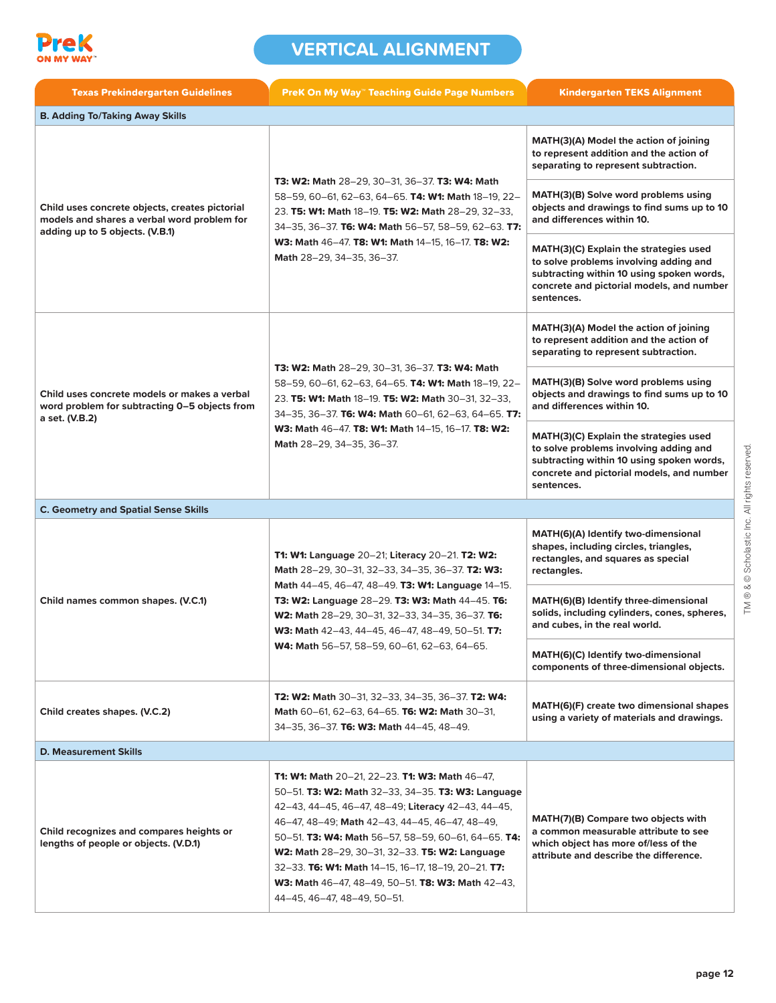

| <b>Texas Prekindergarten Guidelines</b>                                                                                          | <b>PreK On My Way" Teaching Guide Page Numbers</b>                                                                                                                                                                                                                                                                                                                                                                                                                             | <b>Kindergarten TEKS Alignment</b>                                                                                                                                                       |
|----------------------------------------------------------------------------------------------------------------------------------|--------------------------------------------------------------------------------------------------------------------------------------------------------------------------------------------------------------------------------------------------------------------------------------------------------------------------------------------------------------------------------------------------------------------------------------------------------------------------------|------------------------------------------------------------------------------------------------------------------------------------------------------------------------------------------|
| <b>B. Adding To/Taking Away Skills</b>                                                                                           |                                                                                                                                                                                                                                                                                                                                                                                                                                                                                |                                                                                                                                                                                          |
| Child uses concrete objects, creates pictorial<br>models and shares a verbal word problem for<br>adding up to 5 objects. (V.B.1) | T3: W2: Math 28-29, 30-31, 36-37. T3: W4: Math<br>58-59, 60-61, 62-63, 64-65. T4: W1: Math 18-19, 22-<br>23. T5: W1: Math 18-19. T5: W2: Math 28-29, 32-33,<br>34-35, 36-37. T6: W4: Math 56-57, 58-59, 62-63. T7:<br>W3: Math 46-47. T8: W1: Math 14-15, 16-17. T8: W2:<br>Math 28-29, 34-35, 36-37.                                                                                                                                                                          | MATH(3)(A) Model the action of joining<br>to represent addition and the action of<br>separating to represent subtraction.                                                                |
|                                                                                                                                  |                                                                                                                                                                                                                                                                                                                                                                                                                                                                                | MATH(3)(B) Solve word problems using<br>objects and drawings to find sums up to 10<br>and differences within 10.                                                                         |
|                                                                                                                                  |                                                                                                                                                                                                                                                                                                                                                                                                                                                                                | MATH(3)(C) Explain the strategies used<br>to solve problems involving adding and<br>subtracting within 10 using spoken words,<br>concrete and pictorial models, and number<br>sentences. |
|                                                                                                                                  |                                                                                                                                                                                                                                                                                                                                                                                                                                                                                | MATH(3)(A) Model the action of joining<br>to represent addition and the action of<br>separating to represent subtraction.                                                                |
| Child uses concrete models or makes a verbal<br>word problem for subtracting 0-5 objects from                                    | T3: W2: Math 28-29, 30-31, 36-37. T3: W4: Math<br>58-59, 60-61, 62-63, 64-65. T4: W1: Math 18-19, 22-<br>23. T5: W1: Math 18-19. T5: W2: Math 30-31, 32-33,<br>34-35, 36-37. T6: W4: Math 60-61, 62-63, 64-65. T7:<br>W3: Math 46-47. T8: W1: Math 14-15, 16-17. T8: W2:<br>Math 28-29, 34-35, 36-37.                                                                                                                                                                          | MATH(3)(B) Solve word problems using<br>objects and drawings to find sums up to 10<br>and differences within 10.                                                                         |
| a set. (V.B.2)                                                                                                                   |                                                                                                                                                                                                                                                                                                                                                                                                                                                                                | MATH(3)(C) Explain the strategies used<br>to solve problems involving adding and<br>subtracting within 10 using spoken words,<br>concrete and pictorial models, and number<br>sentences. |
| <b>C. Geometry and Spatial Sense Skills</b>                                                                                      |                                                                                                                                                                                                                                                                                                                                                                                                                                                                                |                                                                                                                                                                                          |
|                                                                                                                                  | T1: W1: Language 20-21; Literacy 20-21. T2: W2:<br>Math 28-29, 30-31, 32-33, 34-35, 36-37. T2: W3:<br>Math 44-45, 46-47, 48-49. T3: W1: Language 14-15.<br>T3: W2: Language 28-29. T3: W3: Math 44-45. T6:<br>W2: Math 28-29, 30-31, 32-33, 34-35, 36-37. T6:<br>W3: Math 42-43, 44-45, 46-47, 48-49, 50-51. T7:<br>W4: Math 56-57, 58-59, 60-61, 62-63, 64-65.                                                                                                                | MATH(6)(A) Identify two-dimensional<br>shapes, including circles, triangles,<br>rectangles, and squares as special<br>rectangles.                                                        |
| Child names common shapes. (V.C.1)                                                                                               |                                                                                                                                                                                                                                                                                                                                                                                                                                                                                | MATH(6)(B) Identify three-dimensional<br>solids, including cylinders, cones, spheres,<br>and cubes, in the real world.                                                                   |
|                                                                                                                                  |                                                                                                                                                                                                                                                                                                                                                                                                                                                                                | MATH(6)(C) Identify two-dimensional<br>components of three-dimensional objects.                                                                                                          |
| Child creates shapes. (V.C.2)                                                                                                    | <b>T2: W2: Math 30-31, 32-33, 34-35, 36-37. T2: W4:</b><br>Math 60-61, 62-63, 64-65. T6: W2: Math 30-31,<br>34-35, 36-37. T6: W3: Math 44-45, 48-49.                                                                                                                                                                                                                                                                                                                           | MATH(6)(F) create two dimensional shapes<br>using a variety of materials and drawings.                                                                                                   |
| <b>D. Measurement Skills</b>                                                                                                     |                                                                                                                                                                                                                                                                                                                                                                                                                                                                                |                                                                                                                                                                                          |
| Child recognizes and compares heights or<br>lengths of people or objects. (V.D.1)                                                | <b>T1: W1: Math 20–21, 22–23. T1: W3: Math 46–47,</b><br>50-51. T3: W2: Math 32-33, 34-35. T3: W3: Language<br>42-43, 44-45, 46-47, 48-49; Literacy 42-43, 44-45,<br>46-47, 48-49; Math 42-43, 44-45, 46-47, 48-49,<br>50-51. T3: W4: Math 56-57, 58-59, 60-61, 64-65. T4:<br>W2: Math 28-29, 30-31, 32-33. T5: W2: Language<br>32-33. T6: W1: Math 14-15, 16-17, 18-19, 20-21. T7:<br><b>W3: Math 46-47, 48-49, 50-51. T8: W3: Math 42-43,</b><br>44-45, 46-47, 48-49, 50-51. | MATH(7)(B) Compare two objects with<br>a common measurable attribute to see<br>which object has more of/less of the<br>attribute and describe the difference.                            |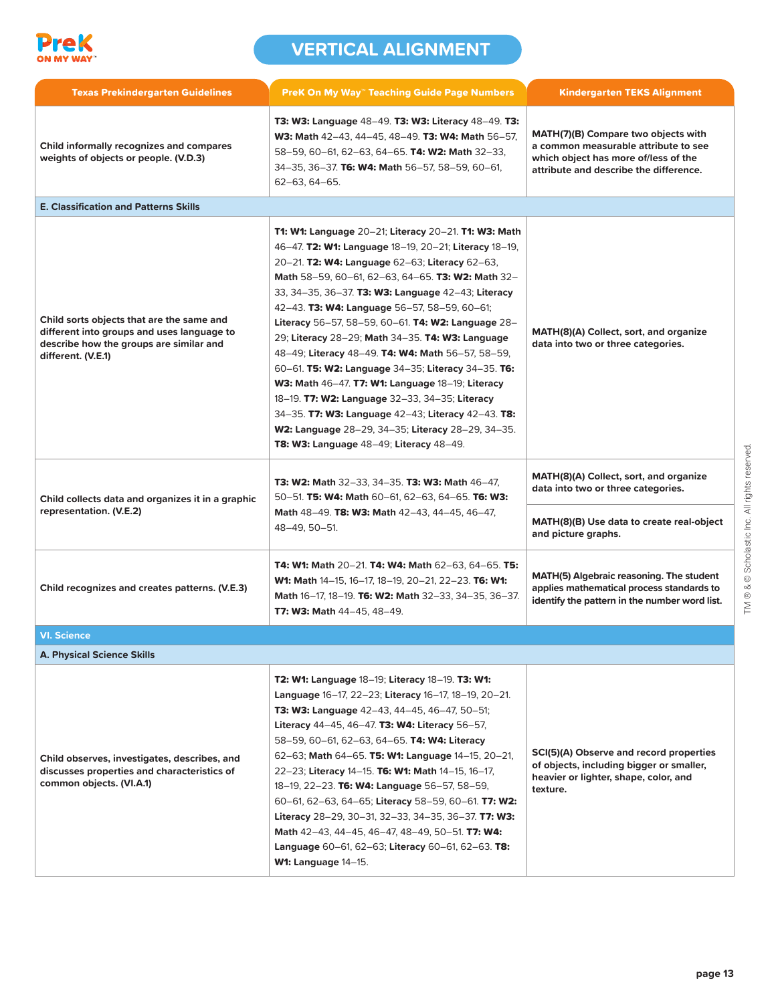

| <b>Texas Prekindergarten Guidelines</b>                                                                                                                  | <b>PreK On My Way" Teaching Guide Page Numbers</b>                                                                                                                                                                                                                                                                                                                                                                                                                                                                                                                                                                                                                                                                                                                                                          | <b>Kindergarten TEKS Alignment</b>                                                                                                                            |
|----------------------------------------------------------------------------------------------------------------------------------------------------------|-------------------------------------------------------------------------------------------------------------------------------------------------------------------------------------------------------------------------------------------------------------------------------------------------------------------------------------------------------------------------------------------------------------------------------------------------------------------------------------------------------------------------------------------------------------------------------------------------------------------------------------------------------------------------------------------------------------------------------------------------------------------------------------------------------------|---------------------------------------------------------------------------------------------------------------------------------------------------------------|
| Child informally recognizes and compares<br>weights of objects or people. (V.D.3)                                                                        | <b>T3: W3: Language 48–49. T3: W3: Literacy 48–49. T3:</b><br>W3: Math 42-43, 44-45, 48-49. T3: W4: Math 56-57,<br>58-59, 60-61, 62-63, 64-65. T4: W2: Math 32-33,<br>34-35, 36-37. T6: W4: Math 56-57, 58-59, 60-61,<br>62-63, 64-65.                                                                                                                                                                                                                                                                                                                                                                                                                                                                                                                                                                      | MATH(7)(B) Compare two objects with<br>a common measurable attribute to see<br>which object has more of/less of the<br>attribute and describe the difference. |
| <b>E. Classification and Patterns Skills</b>                                                                                                             |                                                                                                                                                                                                                                                                                                                                                                                                                                                                                                                                                                                                                                                                                                                                                                                                             |                                                                                                                                                               |
| Child sorts objects that are the same and<br>different into groups and uses language to<br>describe how the groups are similar and<br>different. (V.E.1) | T1: W1: Language 20-21; Literacy 20-21. T1: W3: Math<br>46-47. T2: W1: Language 18-19, 20-21; Literacy 18-19,<br>20-21. T2: W4: Language 62-63; Literacy 62-63,<br>Math 58-59, 60-61, 62-63, 64-65. T3: W2: Math 32-<br>33, 34-35, 36-37. T3: W3: Language 42-43; Literacy<br>42-43. T3: W4: Language 56-57, 58-59, 60-61;<br>Literacy 56-57, 58-59, 60-61. T4: W2: Language 28-<br>29; Literacy 28-29; Math 34-35. T4: W3: Language<br>48-49; Literacy 48-49. T4: W4: Math 56-57, 58-59,<br>60-61. T5: W2: Language 34-35; Literacy 34-35. T6:<br>W3: Math 46-47. T7: W1: Language 18-19; Literacy<br>18-19. T7: W2: Language 32-33, 34-35; Literacy<br>34-35. T7: W3: Language 42-43; Literacy 42-43. T8:<br>W2: Language 28-29, 34-35; Literacy 28-29, 34-35.<br>T8: W3: Language 48-49; Literacy 48-49. | MATH(8)(A) Collect, sort, and organize<br>data into two or three categories.                                                                                  |
| Child collects data and organizes it in a graphic<br>representation. (V.E.2)                                                                             | <b>T3: W2: Math 32-33, 34-35. T3: W3: Math 46-47,</b><br>50-51. T5: W4: Math 60-61, 62-63, 64-65. T6: W3:<br>Math 48-49. T8: W3: Math 42-43, 44-45, 46-47,<br>48-49, 50-51.                                                                                                                                                                                                                                                                                                                                                                                                                                                                                                                                                                                                                                 | MATH(8)(A) Collect, sort, and organize<br>data into two or three categories.                                                                                  |
|                                                                                                                                                          |                                                                                                                                                                                                                                                                                                                                                                                                                                                                                                                                                                                                                                                                                                                                                                                                             | MATH(8)(B) Use data to create real-object<br>and picture graphs.                                                                                              |
| Child recognizes and creates patterns. (V.E.3)                                                                                                           | T4: W1: Math 20-21. T4: W4: Math 62-63, 64-65. T5:<br>W1: Math 14-15, 16-17, 18-19, 20-21, 22-23. T6: W1:<br>Math 16-17, 18-19. T6: W2: Math 32-33, 34-35, 36-37.<br>T7: W3: Math 44-45, 48-49.                                                                                                                                                                                                                                                                                                                                                                                                                                                                                                                                                                                                             | MATH(5) Algebraic reasoning. The student<br>applies mathematical process standards to<br>identify the pattern in the number word list.                        |
| <b>VI. Science</b>                                                                                                                                       |                                                                                                                                                                                                                                                                                                                                                                                                                                                                                                                                                                                                                                                                                                                                                                                                             |                                                                                                                                                               |
| <b>A. Physical Science Skills</b>                                                                                                                        |                                                                                                                                                                                                                                                                                                                                                                                                                                                                                                                                                                                                                                                                                                                                                                                                             |                                                                                                                                                               |
| Child observes, investigates, describes, and<br>discusses properties and characteristics of<br>common objects. (VI.A.1)                                  | T2: W1: Language 18-19; Literacy 18-19. T3: W1:<br>Language 16-17, 22-23; Literacy 16-17, 18-19, 20-21.<br><b>T3: W3: Language</b> 42–43, 44–45, 46–47, 50–51;<br>Literacy 44-45, 46-47. T3: W4: Literacy 56-57,<br>58-59, 60-61, 62-63, 64-65. <b>T4: W4: Literacy</b><br>62-63; Math 64-65. T5: W1: Language 14-15, 20-21,<br>22-23; Literacy 14-15. T6: W1: Math 14-15, 16-17,<br>18-19, 22-23. T6: W4: Language 56-57, 58-59,<br>60-61, 62-63, 64-65; Literacy 58-59, 60-61. T7: W2:<br>Literacy 28-29, 30-31, 32-33, 34-35, 36-37. T7: W3:<br>Math 42-43, 44-45, 46-47, 48-49, 50-51. T7: W4:<br>Language 60-61, 62-63; Literacy 60-61, 62-63. T8:<br><b>W1: Language 14-15.</b>                                                                                                                       | SCI(5)(A) Observe and record properties<br>of objects, including bigger or smaller,<br>heavier or lighter, shape, color, and<br>texture.                      |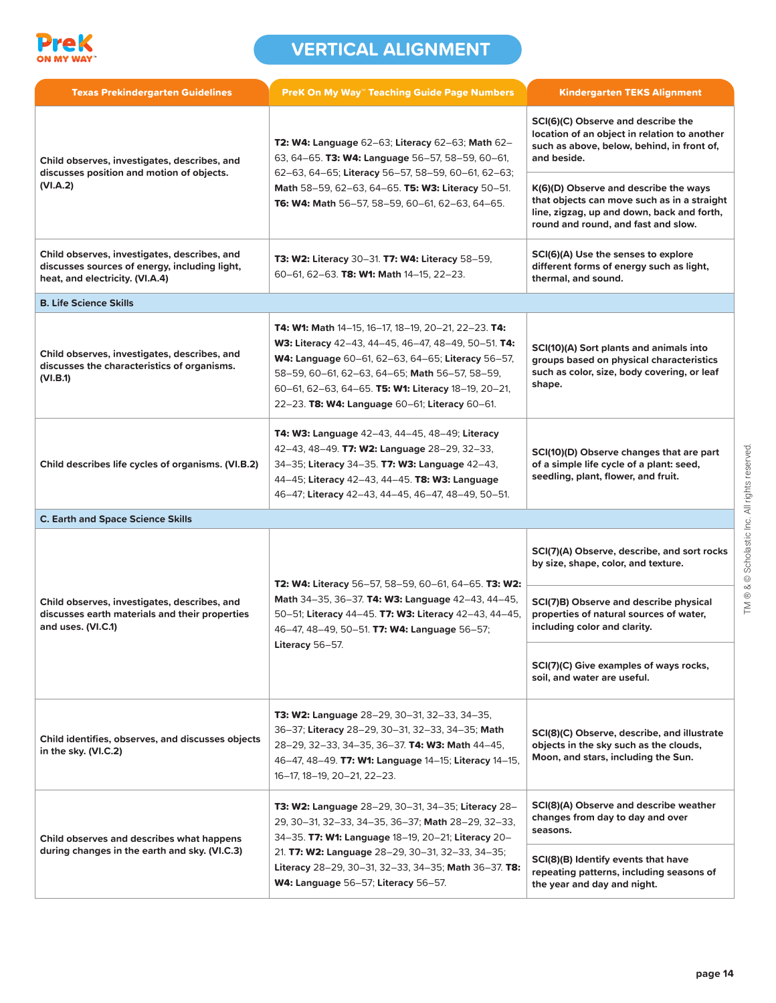

| <b>Texas Prekindergarten Guidelines</b>                                                                                          | <b>PreK On My Way" Teaching Guide Page Numbers</b>                                                                                                                                                                                                                                                                                | <b>Kindergarten TEKS Alignment</b>                                                                                                                                        |
|----------------------------------------------------------------------------------------------------------------------------------|-----------------------------------------------------------------------------------------------------------------------------------------------------------------------------------------------------------------------------------------------------------------------------------------------------------------------------------|---------------------------------------------------------------------------------------------------------------------------------------------------------------------------|
| Child observes, investigates, describes, and<br>discusses position and motion of objects.<br>(VI.A.2)                            | T2: W4: Language 62-63; Literacy 62-63; Math 62-<br>63, 64-65. T3: W4: Language 56-57, 58-59, 60-61,<br>62-63, 64-65; Literacy 56-57, 58-59, 60-61, 62-63;<br>Math 58-59, 62-63, 64-65. T5: W3: Literacy 50-51.<br>T6: W4: Math 56-57, 58-59, 60-61, 62-63, 64-65.                                                                | SCI(6)(C) Observe and describe the<br>location of an object in relation to another<br>such as above, below, behind, in front of,<br>and beside.                           |
|                                                                                                                                  |                                                                                                                                                                                                                                                                                                                                   | K(6)(D) Observe and describe the ways<br>that objects can move such as in a straight<br>line, zigzag, up and down, back and forth,<br>round and round, and fast and slow. |
| Child observes, investigates, describes, and<br>discusses sources of energy, including light,<br>heat, and electricity. (VI.A.4) | T3: W2: Literacy 30-31. T7: W4: Literacy 58-59,<br>60-61, 62-63. T8: W1: Math 14-15, 22-23.                                                                                                                                                                                                                                       | SCI(6)(A) Use the senses to explore<br>different forms of energy such as light,<br>thermal, and sound.                                                                    |
| <b>B. Life Science Skills</b>                                                                                                    |                                                                                                                                                                                                                                                                                                                                   |                                                                                                                                                                           |
| Child observes, investigates, describes, and<br>discusses the characteristics of organisms.<br>(VI.B.1)                          | <b>T4: W1: Math 14-15, 16-17, 18-19, 20-21, 22-23. T4:</b><br>W3: Literacy 42-43, 44-45, 46-47, 48-49, 50-51. T4:<br>W4: Language 60-61, 62-63, 64-65; Literacy 56-57,<br>58-59, 60-61, 62-63, 64-65; Math 56-57, 58-59,<br>60-61, 62-63, 64-65. T5: W1: Literacy 18-19, 20-21,<br>22-23. T8: W4: Language 60-61; Literacy 60-61. | SCI(10)(A) Sort plants and animals into<br>groups based on physical characteristics<br>such as color, size, body covering, or leaf<br>shape.                              |
| Child describes life cycles of organisms. (VI.B.2)                                                                               | T4: W3: Language 42-43, 44-45, 48-49; Literacy<br>42-43, 48-49. T7: W2: Language 28-29, 32-33,<br>34-35; Literacy 34-35. T7: W3: Language 42-43,<br>44-45; Literacy 42-43, 44-45. T8: W3: Language<br>46-47; Literacy 42-43, 44-45, 46-47, 48-49, 50-51.                                                                          | SCI(10)(D) Observe changes that are part<br>of a simple life cycle of a plant: seed,<br>seedling, plant, flower, and fruit.                                               |
| <b>C. Earth and Space Science Skills</b>                                                                                         |                                                                                                                                                                                                                                                                                                                                   |                                                                                                                                                                           |
| Child observes, investigates, describes, and<br>discusses earth materials and their properties<br>and uses. (VI.C.1)             | T2: W4: Literacy 56-57, 58-59, 60-61, 64-65. T3: W2:<br>Math 34-35, 36-37. T4: W3: Language 42-43, 44-45,<br>50-51; Literacy 44-45. T7: W3: Literacy 42-43, 44-45,<br>46-47, 48-49, 50-51. T7: W4: Language 56-57;<br>Literacy 56-57.                                                                                             | SCI(7)(A) Observe, describe, and sort rocks<br>by size, shape, color, and texture.                                                                                        |
|                                                                                                                                  |                                                                                                                                                                                                                                                                                                                                   | SCI(7)B) Observe and describe physical<br>properties of natural sources of water,<br>including color and clarity.                                                         |
|                                                                                                                                  |                                                                                                                                                                                                                                                                                                                                   | SCI(7)(C) Give examples of ways rocks,<br>soil, and water are useful.                                                                                                     |
| Child identifies, observes, and discusses objects<br>in the sky. (VI.C.2)                                                        | T3: W2: Language 28-29, 30-31, 32-33, 34-35,<br>36-37; Literacy 28-29, 30-31, 32-33, 34-35; Math<br>28-29, 32-33, 34-35, 36-37. T4: W3: Math 44-45,<br>46-47, 48-49. T7: W1: Language 14-15; Literacy 14-15,<br>16-17, 18-19, 20-21, 22-23.                                                                                       | SCI(8)(C) Observe, describe, and illustrate<br>objects in the sky such as the clouds,<br>Moon, and stars, including the Sun.                                              |
| Child observes and describes what happens<br>during changes in the earth and sky. (VI.C.3)                                       | T3: W2: Language 28-29, 30-31, 34-35; Literacy 28-<br>29, 30–31, 32–33, 34–35, 36–37; <b>Math</b> 28–29, 32–33,<br>34-35. T7: W1: Language 18-19, 20-21; Literacy 20-<br>21. T7: W2: Language 28-29, 30-31, 32-33, 34-35;<br>Literacy 28-29, 30-31, 32-33, 34-35; Math 36-37. T8:<br><b>W4: Language 56–57; Literacy 56–57.</b>   | SCI(8)(A) Observe and describe weather<br>changes from day to day and over<br>seasons.                                                                                    |
|                                                                                                                                  |                                                                                                                                                                                                                                                                                                                                   | SCI(8)(B) Identify events that have<br>repeating patterns, including seasons of<br>the year and day and night.                                                            |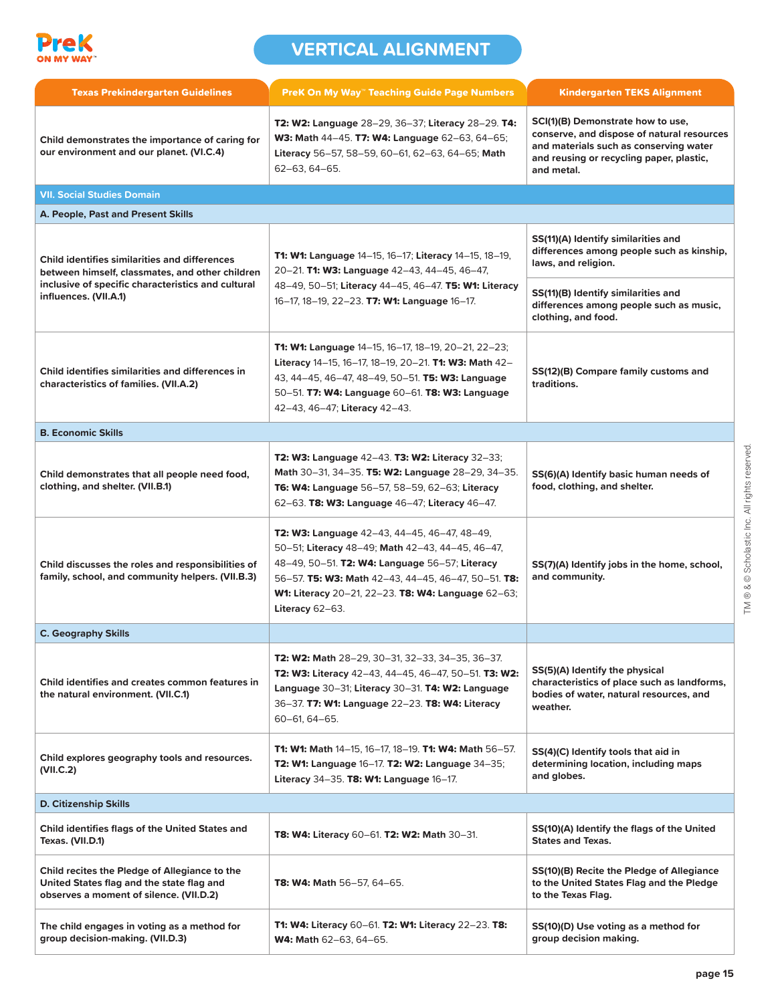

| <b>Texas Prekindergarten Guidelines</b>                                                                                                                                                | <b>PreK On My Way™ Teaching Guide Page Numbers</b>                                                                                                                                                                                                                                           | <b>Kindergarten TEKS Alignment</b>                                                                                                                                                  |
|----------------------------------------------------------------------------------------------------------------------------------------------------------------------------------------|----------------------------------------------------------------------------------------------------------------------------------------------------------------------------------------------------------------------------------------------------------------------------------------------|-------------------------------------------------------------------------------------------------------------------------------------------------------------------------------------|
| Child demonstrates the importance of caring for<br>our environment and our planet. (VI.C.4)                                                                                            | T2: W2: Language 28-29, 36-37; Literacy 28-29. T4:<br>W3: Math 44-45. T7: W4: Language 62-63, 64-65;<br>Literacy 56-57, 58-59, 60-61, 62-63, 64-65; Math<br>62-63, 64-65.                                                                                                                    | SCI(1)(B) Demonstrate how to use,<br>conserve, and dispose of natural resources<br>and materials such as conserving water<br>and reusing or recycling paper, plastic,<br>and metal. |
| <b>VII. Social Studies Domain</b>                                                                                                                                                      |                                                                                                                                                                                                                                                                                              |                                                                                                                                                                                     |
| A. People, Past and Present Skills                                                                                                                                                     |                                                                                                                                                                                                                                                                                              |                                                                                                                                                                                     |
| <b>Child identifies similarities and differences</b><br>between himself, classmates, and other children<br>inclusive of specific characteristics and cultural<br>influences. (VII.A.1) | <b>T1: W1: Language 14–15, 16–17; Literacy 14–15, 18–19,</b><br>20-21. T1: W3: Language 42-43, 44-45, 46-47,<br>48-49, 50-51; Literacy 44-45, 46-47. T5: W1: Literacy<br>16-17, 18-19, 22-23. <b>T7: W1: Language</b> 16-17.                                                                 | SS(11)(A) Identify similarities and<br>differences among people such as kinship,<br>laws, and religion.                                                                             |
|                                                                                                                                                                                        |                                                                                                                                                                                                                                                                                              | SS(11)(B) Identify similarities and<br>differences among people such as music,<br>clothing, and food.                                                                               |
| Child identifies similarities and differences in<br>characteristics of families. (VII.A.2)                                                                                             | <b>T1: W1: Language</b> 14-15, 16-17, 18-19, 20-21, 22-23;<br>Literacy 14-15, 16-17, 18-19, 20-21. T1: W3: Math 42-<br>43, 44-45, 46-47, 48-49, 50-51. T5: W3: Language<br>50-51. T7: W4: Language 60-61. T8: W3: Language<br>42-43, 46-47; Literacy 42-43.                                  | SS(12)(B) Compare family customs and<br>traditions.                                                                                                                                 |
| <b>B. Economic Skills</b>                                                                                                                                                              |                                                                                                                                                                                                                                                                                              |                                                                                                                                                                                     |
| Child demonstrates that all people need food,<br>clothing, and shelter. (VII.B.1)                                                                                                      | <b>T2: W3: Language 42–43. T3: W2: Literacy 32–33;</b><br>Math 30-31, 34-35. T5: W2: Language 28-29, 34-35.<br>T6: W4: Language 56-57, 58-59, 62-63; Literacy<br>62-63. T8: W3: Language 46-47; Literacy 46-47.                                                                              | SS(6)(A) Identify basic human needs of<br>food, clothing, and shelter.                                                                                                              |
| Child discusses the roles and responsibilities of<br>family, school, and community helpers. (VII.B.3)                                                                                  | <b>T2: W3: Language</b> 42–43, 44–45, 46–47, 48–49,<br>50-51; Literacy 48-49; Math 42-43, 44-45, 46-47,<br>48-49, 50-51. T2: W4: Language 56-57; Literacy<br>56-57. T5: W3: Math 42-43, 44-45, 46-47, 50-51. T8:<br>W1: Literacy 20-21, 22-23. T8: W4: Language 62-63;<br>Literacy $62-63$ . | SS(7)(A) Identify jobs in the home, school,<br>and community.                                                                                                                       |
| <b>C. Geography Skills</b>                                                                                                                                                             |                                                                                                                                                                                                                                                                                              |                                                                                                                                                                                     |
| Child identifies and creates common features in<br>the natural environment. (VII.C.1)                                                                                                  | T2: W2: Math 28-29, 30-31, 32-33, 34-35, 36-37.<br>T2: W3: Literacy 42-43, 44-45, 46-47, 50-51. T3: W2:<br>Language 30-31; Literacy 30-31. T4: W2: Language<br>36-37. T7: W1: Language 22-23. T8: W4: Literacy<br>60-61, 64-65.                                                              | SS(5)(A) Identify the physical<br>characteristics of place such as landforms,<br>bodies of water, natural resources, and<br>weather.                                                |
| Child explores geography tools and resources.<br>(VII.C.2)                                                                                                                             | T1: W1: Math 14-15, 16-17, 18-19. T1: W4: Math 56-57.<br>T2: W1: Language 16-17. T2: W2: Language 34-35;<br>Literacy 34-35. T8: W1: Language $16-17$ .                                                                                                                                       | SS(4)(C) Identify tools that aid in<br>determining location, including maps<br>and globes.                                                                                          |
| <b>D. Citizenship Skills</b>                                                                                                                                                           |                                                                                                                                                                                                                                                                                              |                                                                                                                                                                                     |
| Child identifies flags of the United States and<br>Texas. (VII.D.1)                                                                                                                    | <b>T8: W4: Literacy 60–61. T2: W2: Math 30–31.</b>                                                                                                                                                                                                                                           | SS(10)(A) Identify the flags of the United<br><b>States and Texas.</b>                                                                                                              |
| Child recites the Pledge of Allegiance to the<br>United States flag and the state flag and<br>observes a moment of silence. (VII.D.2)                                                  | <b>T8: W4: Math</b> 56–57, 64–65.                                                                                                                                                                                                                                                            | SS(10)(B) Recite the Pledge of Allegiance<br>to the United States Flag and the Pledge<br>to the Texas Flag.                                                                         |
| The child engages in voting as a method for<br>group decision-making. (VII.D.3)                                                                                                        | T1: W4: Literacy 60-61. T2: W1: Literacy 22-23. T8:<br>W4: Math 62-63, 64-65.                                                                                                                                                                                                                | SS(10)(D) Use voting as a method for<br>group decision making.                                                                                                                      |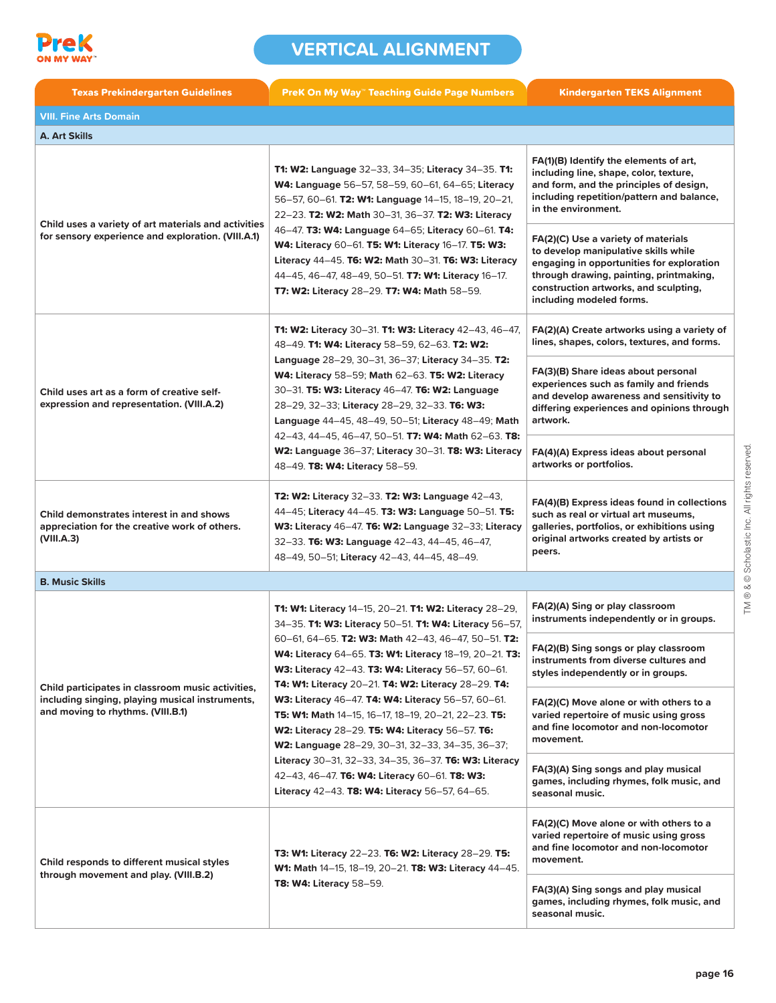

| <b>Texas Prekindergarten Guidelines</b>                                                                                                   | <b>PreK On My Way" Teaching Guide Page Numbers</b>                                                                                                                                                                                                                                                                                                                                                                                                                                                                                                                | <b>Kindergarten TEKS Alignment</b>                                                                                                                                                                                                       |
|-------------------------------------------------------------------------------------------------------------------------------------------|-------------------------------------------------------------------------------------------------------------------------------------------------------------------------------------------------------------------------------------------------------------------------------------------------------------------------------------------------------------------------------------------------------------------------------------------------------------------------------------------------------------------------------------------------------------------|------------------------------------------------------------------------------------------------------------------------------------------------------------------------------------------------------------------------------------------|
| <b>VIII. Fine Arts Domain</b>                                                                                                             |                                                                                                                                                                                                                                                                                                                                                                                                                                                                                                                                                                   |                                                                                                                                                                                                                                          |
| <b>A. Art Skills</b>                                                                                                                      |                                                                                                                                                                                                                                                                                                                                                                                                                                                                                                                                                                   |                                                                                                                                                                                                                                          |
| Child uses a variety of art materials and activities<br>for sensory experience and exploration. (VIII.A.1)                                | <b>T1: W2: Language 32-33, 34-35; Literacy 34-35. T1:</b><br>W4: Language 56-57, 58-59, 60-61, 64-65; Literacy<br>56-57, 60-61. T2: W1: Language 14-15, 18-19, 20-21,<br>22-23. T2: W2: Math 30-31, 36-37. T2: W3: Literacy<br>46-47. T3: W4: Language 64-65; Literacy 60-61. T4:<br>W4: Literacy 60–61. T5: W1: Literacy 16–17. T5: W3:<br>Literacy 44-45. T6: W2: Math 30-31. T6: W3: Literacy<br>44-45, 46-47, 48-49, 50-51. T7: W1: Literacy 16-17.<br><b>T7: W2: Literacy 28-29. T7: W4: Math 58-59.</b>                                                     | FA(1)(B) Identify the elements of art,<br>including line, shape, color, texture,<br>and form, and the principles of design,<br>including repetition/pattern and balance,<br>in the environment.                                          |
|                                                                                                                                           |                                                                                                                                                                                                                                                                                                                                                                                                                                                                                                                                                                   | FA(2)(C) Use a variety of materials<br>to develop manipulative skills while<br>engaging in opportunities for exploration<br>through drawing, painting, printmaking,<br>construction artworks, and sculpting,<br>including modeled forms. |
| Child uses art as a form of creative self-<br>expression and representation. (VIII.A.2)                                                   | <b>T1: W2: Literacy 30-31. T1: W3: Literacy 42-43, 46-47,</b><br>48-49. T1: W4: Literacy 58-59, 62-63. T2: W2:<br><b>Language</b> 28–29, 30–31, 36–37; Literacy 34–35. T2:<br>W4: Literacy 58-59; Math 62-63. T5: W2: Literacy<br>30-31. T5: W3: Literacy 46-47. T6: W2: Language<br>28-29, 32-33; Literacy 28-29, 32-33. T6: W3:<br>Language 44-45, 48-49, 50-51; Literacy 48-49; Math<br>42–43, 44–45, 46–47, 50–51. T7: W4: Math 62–63. T8:<br>W2: Language 36-37; Literacy 30-31. T8: W3: Literacy<br>48-49. T8: W4: Literacy 58-59.                          | FA(2)(A) Create artworks using a variety of<br>lines, shapes, colors, textures, and forms.                                                                                                                                               |
|                                                                                                                                           |                                                                                                                                                                                                                                                                                                                                                                                                                                                                                                                                                                   | FA(3)(B) Share ideas about personal<br>experiences such as family and friends<br>and develop awareness and sensitivity to<br>differing experiences and opinions through<br>artwork.                                                      |
|                                                                                                                                           |                                                                                                                                                                                                                                                                                                                                                                                                                                                                                                                                                                   | FA(4)(A) Express ideas about personal<br>artworks or portfolios.                                                                                                                                                                         |
| Child demonstrates interest in and shows<br>appreciation for the creative work of others.<br>(VIII.A.3)                                   | T2: W2: Literacy 32-33. T2: W3: Language 42-43,<br>44-45; Literacy 44-45. T3: W3: Language 50-51. T5:<br>W3: Literacy 46-47. T6: W2: Language 32-33; Literacy<br>32-33. T6: W3: Language 42-43, 44-45, 46-47,<br>48-49, 50-51; Literacy 42-43, 44-45, 48-49.                                                                                                                                                                                                                                                                                                      | FA(4)(B) Express ideas found in collections<br>such as real or virtual art museums,<br>galleries, portfolios, or exhibitions using<br>original artworks created by artists or<br>peers.                                                  |
| <b>B. Music Skills</b>                                                                                                                    |                                                                                                                                                                                                                                                                                                                                                                                                                                                                                                                                                                   |                                                                                                                                                                                                                                          |
| Child participates in classroom music activities,<br>including singing, playing musical instruments,<br>and moving to rhythms. (VIII.B.1) | T1: W1: Literacy 14-15, 20-21. T1: W2: Literacy 28-29,<br>34-35. T1: W3: Literacy 50-51. T1: W4: Literacy 56-57,<br>60-61, 64-65. T2: W3: Math 42-43, 46-47, 50-51. T2:<br>W4: Literacy 64–65. T3: W1: Literacy 18–19, 20–21. T3:<br>W3: Literacy 42-43. T3: W4: Literacy 56-57, 60-61.<br>T4: W1: Literacy 20-21. T4: W2: Literacy 28-29. T4:<br>W3: Literacy 46-47. T4: W4: Literacy 56-57, 60-61.<br>T5: W1: Math 14-15, 16-17, 18-19, 20-21, 22-23. T5:<br>W2: Literacy 28-29. T5: W4: Literacy 56-57. T6:<br>W2: Language 28-29, 30-31, 32-33, 34-35, 36-37; | FA(2)(A) Sing or play classroom<br>instruments independently or in groups.                                                                                                                                                               |
|                                                                                                                                           |                                                                                                                                                                                                                                                                                                                                                                                                                                                                                                                                                                   | FA(2)(B) Sing songs or play classroom<br>instruments from diverse cultures and<br>styles independently or in groups.                                                                                                                     |
|                                                                                                                                           |                                                                                                                                                                                                                                                                                                                                                                                                                                                                                                                                                                   | FA(2)(C) Move alone or with others to a<br>varied repertoire of music using gross<br>and fine locomotor and non-locomotor<br>movement.                                                                                                   |
|                                                                                                                                           | Literacy 30-31, 32-33, 34-35, 36-37. T6: W3: Literacy<br>42-43, 46-47. T6: W4: Literacy 60-61. T8: W3:<br>Literacy 42-43. T8: W4: Literacy 56-57, 64-65.                                                                                                                                                                                                                                                                                                                                                                                                          | FA(3)(A) Sing songs and play musical<br>games, including rhymes, folk music, and<br>seasonal music.                                                                                                                                      |
| Child responds to different musical styles<br>through movement and play. (VIII.B.2)                                                       | T3: W1: Literacy 22-23. T6: W2: Literacy 28-29. T5:<br>W1: Math 14-15, 18-19, 20-21. T8: W3: Literacy 44-45.<br><b>T8: W4: Literacy 58-59.</b>                                                                                                                                                                                                                                                                                                                                                                                                                    | FA(2)(C) Move alone or with others to a<br>varied repertoire of music using gross<br>and fine locomotor and non-locomotor<br>movement.                                                                                                   |
|                                                                                                                                           |                                                                                                                                                                                                                                                                                                                                                                                                                                                                                                                                                                   | FA(3)(A) Sing songs and play musical<br>games, including rhymes, folk music, and<br>seasonal music.                                                                                                                                      |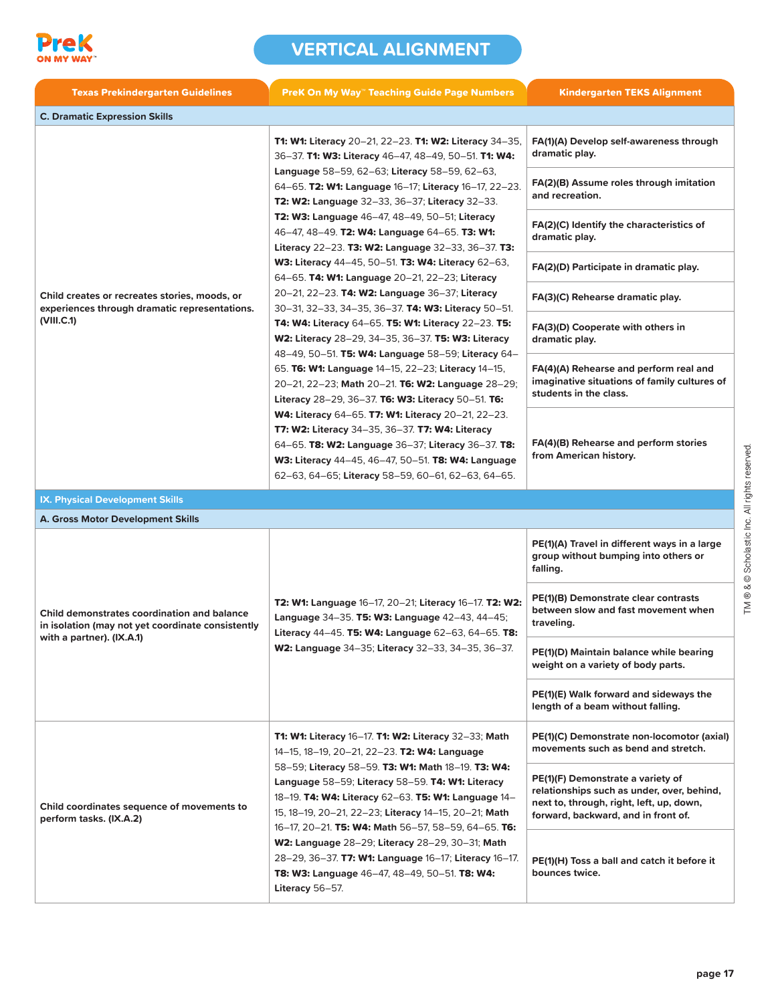

| <b>Texas Prekindergarten Guidelines</b>                                                                                              | <b>PreK On My Way™ Teaching Guide Page Numbers</b>                                                                                                                                                                                                                                                                                                                                                                                                                                                                                                                                                                                      | <b>Kindergarten TEKS Alignment</b>                                                                                                                                 |
|--------------------------------------------------------------------------------------------------------------------------------------|-----------------------------------------------------------------------------------------------------------------------------------------------------------------------------------------------------------------------------------------------------------------------------------------------------------------------------------------------------------------------------------------------------------------------------------------------------------------------------------------------------------------------------------------------------------------------------------------------------------------------------------------|--------------------------------------------------------------------------------------------------------------------------------------------------------------------|
| <b>C. Dramatic Expression Skills</b>                                                                                                 |                                                                                                                                                                                                                                                                                                                                                                                                                                                                                                                                                                                                                                         |                                                                                                                                                                    |
|                                                                                                                                      | <b>T1: W1: Literacy</b> 20-21, 22-23. <b>T1: W2: Literacy</b> 34-35,<br>36-37. T1: W3: Literacy 46-47, 48-49, 50-51. T1: W4:<br>Language 58-59, 62-63; Literacy 58-59, 62-63,<br>64–65. T2: W1: Language 16–17; Literacy 16–17, 22–23.<br><b>T2: W2: Language 32–33, 36–37; Literacy 32–33.</b><br>T2: W3: Language 46-47, 48-49, 50-51; Literacy<br>46-47, 48-49. T2: W4: Language 64-65. T3: W1:<br>Literacy 22–23. T3: W2: Language 32–33, 36–37. T3:<br><b>W3: Literacy 44–45, 50–51. T3: W4: Literacy 62–63,</b><br>64–65. T4: W1: Language 20–21, 22–23; Literacy                                                                 | FA(1)(A) Develop self-awareness through<br>dramatic play.                                                                                                          |
|                                                                                                                                      |                                                                                                                                                                                                                                                                                                                                                                                                                                                                                                                                                                                                                                         | FA(2)(B) Assume roles through imitation<br>and recreation.                                                                                                         |
|                                                                                                                                      |                                                                                                                                                                                                                                                                                                                                                                                                                                                                                                                                                                                                                                         | FA(2)(C) Identify the characteristics of<br>dramatic play.                                                                                                         |
|                                                                                                                                      |                                                                                                                                                                                                                                                                                                                                                                                                                                                                                                                                                                                                                                         | FA(2)(D) Participate in dramatic play.                                                                                                                             |
| Child creates or recreates stories, moods, or<br>experiences through dramatic representations.                                       | 20-21, 22-23. T4: W2: Language 36-37; Literacy<br>30-31, 32-33, 34-35, 36-37. <b>T4: W3: Literacy</b> 50-51.                                                                                                                                                                                                                                                                                                                                                                                                                                                                                                                            | FA(3)(C) Rehearse dramatic play.                                                                                                                                   |
| (VIII.C.1)                                                                                                                           | T4: W4: Literacy 64-65. T5: W1: Literacy 22-23. T5:<br><b>W2: Literacy</b> 28–29, 34–35, 36–37. <b>T5: W3: Literacy</b><br>48-49, 50-51. T5: W4: Language 58-59; Literacy 64-<br>65. T6: W1: Language 14–15, 22–23; Literacy 14–15,<br>20-21, 22-23; Math 20-21. T6: W2: Language 28-29;<br>Literacy 28-29, 36-37. T6: W3: Literacy 50-51. T6:<br><b>W4: Literacy 64–65. T7: W1: Literacy 20–21, 22–23.</b><br><b>T7: W2: Literacy 34–35, 36–37. T7: W4: Literacy</b><br>64–65. T8: W2: Language 36–37; Literacy 36–37. T8:<br>W3: Literacy 44-45, 46-47, 50-51. T8: W4: Language<br>62-63, 64-65; Literacy 58-59, 60-61, 62-63, 64-65. | FA(3)(D) Cooperate with others in<br>dramatic play.                                                                                                                |
|                                                                                                                                      |                                                                                                                                                                                                                                                                                                                                                                                                                                                                                                                                                                                                                                         | FA(4)(A) Rehearse and perform real and<br>imaginative situations of family cultures of<br>students in the class.                                                   |
|                                                                                                                                      |                                                                                                                                                                                                                                                                                                                                                                                                                                                                                                                                                                                                                                         | FA(4)(B) Rehearse and perform stories<br>from American history.                                                                                                    |
| <b>IX. Physical Development Skills</b>                                                                                               |                                                                                                                                                                                                                                                                                                                                                                                                                                                                                                                                                                                                                                         |                                                                                                                                                                    |
| <b>A. Gross Motor Development Skills</b>                                                                                             |                                                                                                                                                                                                                                                                                                                                                                                                                                                                                                                                                                                                                                         |                                                                                                                                                                    |
| <b>Child demonstrates coordination and balance</b><br>in isolation (may not yet coordinate consistently<br>with a partner). (IX.A.1) | T2: W1: Language 16-17, 20-21; Literacy 16-17. T2: W2:<br>Language 34-35. T5: W3: Language 42-43, 44-45;<br>Literacy 44-45. T5: W4: Language 62-63, 64-65. T8:<br>W2: Language 34-35; Literacy 32-33, 34-35, 36-37.                                                                                                                                                                                                                                                                                                                                                                                                                     | PE(1)(A) Travel in different ways in a large<br>group without bumping into others or<br>falling.                                                                   |
|                                                                                                                                      |                                                                                                                                                                                                                                                                                                                                                                                                                                                                                                                                                                                                                                         | PE(1)(B) Demonstrate clear contrasts<br>between slow and fast movement when<br>traveling.                                                                          |
|                                                                                                                                      |                                                                                                                                                                                                                                                                                                                                                                                                                                                                                                                                                                                                                                         | PE(1)(D) Maintain balance while bearing<br>weight on a variety of body parts.                                                                                      |
|                                                                                                                                      |                                                                                                                                                                                                                                                                                                                                                                                                                                                                                                                                                                                                                                         | PE(1)(E) Walk forward and sideways the<br>length of a beam without falling.                                                                                        |
| Child coordinates sequence of movements to<br>perform tasks. (IX.A.2)                                                                | T1: W1: Literacy 16-17. T1: W2: Literacy 32-33; Math<br>14-15, 18-19, 20-21, 22-23. T2: W4: Language<br>58-59; Literacy 58-59. T3: W1: Math 18-19. T3: W4:<br>Language 58-59; Literacy 58-59. T4: W1: Literacy<br>18-19. T4: W4: Literacy 62-63. T5: W1: Language 14-<br>15, 18-19, 20-21, 22-23; Literacy 14-15, 20-21; Math<br>16-17, 20-21. T5: W4: Math 56-57, 58-59, 64-65. T6:<br>W2: Language 28-29; Literacy 28-29, 30-31; Math<br>28-29, 36-37. T7: W1: Language 16-17; Literacy 16-17.<br>T8: W3: Language 46-47, 48-49, 50-51. T8: W4:<br>Literacy 56-57.                                                                    | PE(1)(C) Demonstrate non-locomotor (axial)<br>movements such as bend and stretch.                                                                                  |
|                                                                                                                                      |                                                                                                                                                                                                                                                                                                                                                                                                                                                                                                                                                                                                                                         | PE(1)(F) Demonstrate a variety of<br>relationships such as under, over, behind,<br>next to, through, right, left, up, down,<br>forward, backward, and in front of. |
|                                                                                                                                      |                                                                                                                                                                                                                                                                                                                                                                                                                                                                                                                                                                                                                                         | PE(1)(H) Toss a ball and catch it before it<br>bounces twice.                                                                                                      |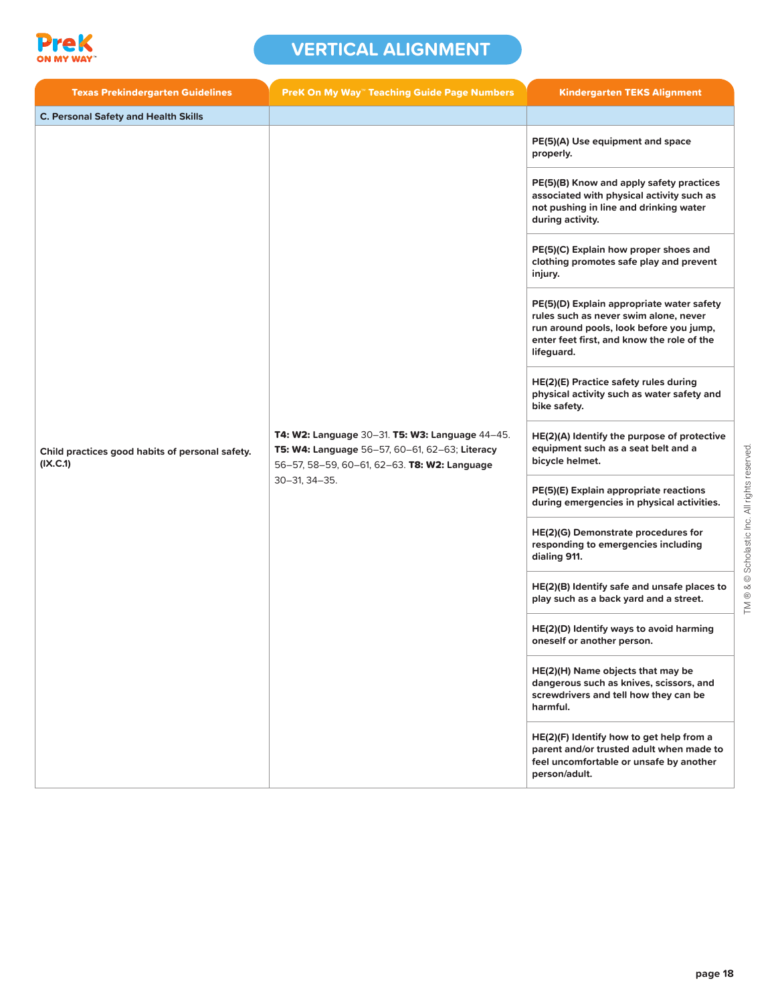

| <b>Texas Prekindergarten Guidelines</b>                     | <b>PreK On My Way" Teaching Guide Page Numbers</b>                                                                                                                              | <b>Kindergarten TEKS Alignment</b>                                                                                                                                                                   |
|-------------------------------------------------------------|---------------------------------------------------------------------------------------------------------------------------------------------------------------------------------|------------------------------------------------------------------------------------------------------------------------------------------------------------------------------------------------------|
| <b>C. Personal Safety and Health Skills</b>                 |                                                                                                                                                                                 |                                                                                                                                                                                                      |
| Child practices good habits of personal safety.<br>(IX.C.1) | <b>T4: W2: Language 30–31. T5: W3: Language 44–45.</b><br>T5: W4: Language 56-57, 60-61, 62-63; Literacy<br>56-57, 58-59, 60-61, 62-63. T8: W2: Language<br>$30 - 31, 34 - 35.$ | PE(5)(A) Use equipment and space<br>properly.<br>PE(5)(B) Know and apply safety practices<br>associated with physical activity such as<br>not pushing in line and drinking water<br>during activity. |
|                                                             |                                                                                                                                                                                 | PE(5)(C) Explain how proper shoes and<br>clothing promotes safe play and prevent<br>injury.                                                                                                          |
|                                                             |                                                                                                                                                                                 | PE(5)(D) Explain appropriate water safety<br>rules such as never swim alone, never<br>run around pools, look before you jump,<br>enter feet first, and know the role of the<br>lifeguard.            |
|                                                             |                                                                                                                                                                                 | HE(2)(E) Practice safety rules during<br>physical activity such as water safety and<br>bike safety.                                                                                                  |
|                                                             |                                                                                                                                                                                 | HE(2)(A) Identify the purpose of protective<br>equipment such as a seat belt and a<br>bicycle helmet.                                                                                                |
|                                                             |                                                                                                                                                                                 | PE(5)(E) Explain appropriate reactions<br>during emergencies in physical activities.                                                                                                                 |
|                                                             |                                                                                                                                                                                 | HE(2)(G) Demonstrate procedures for<br>responding to emergencies including<br>dialing 911.                                                                                                           |
|                                                             |                                                                                                                                                                                 | HE(2)(B) Identify safe and unsafe places to<br>play such as a back yard and a street.                                                                                                                |
|                                                             |                                                                                                                                                                                 | HE(2)(D) Identify ways to avoid harming<br>oneself or another person.                                                                                                                                |
|                                                             |                                                                                                                                                                                 | HE(2)(H) Name objects that may be<br>dangerous such as knives, scissors, and<br>screwdrivers and tell how they can be<br>harmful.                                                                    |
|                                                             |                                                                                                                                                                                 | HE(2)(F) Identify how to get help from a<br>parent and/or trusted adult when made to<br>feel uncomfortable or unsafe by another<br>person/adult.                                                     |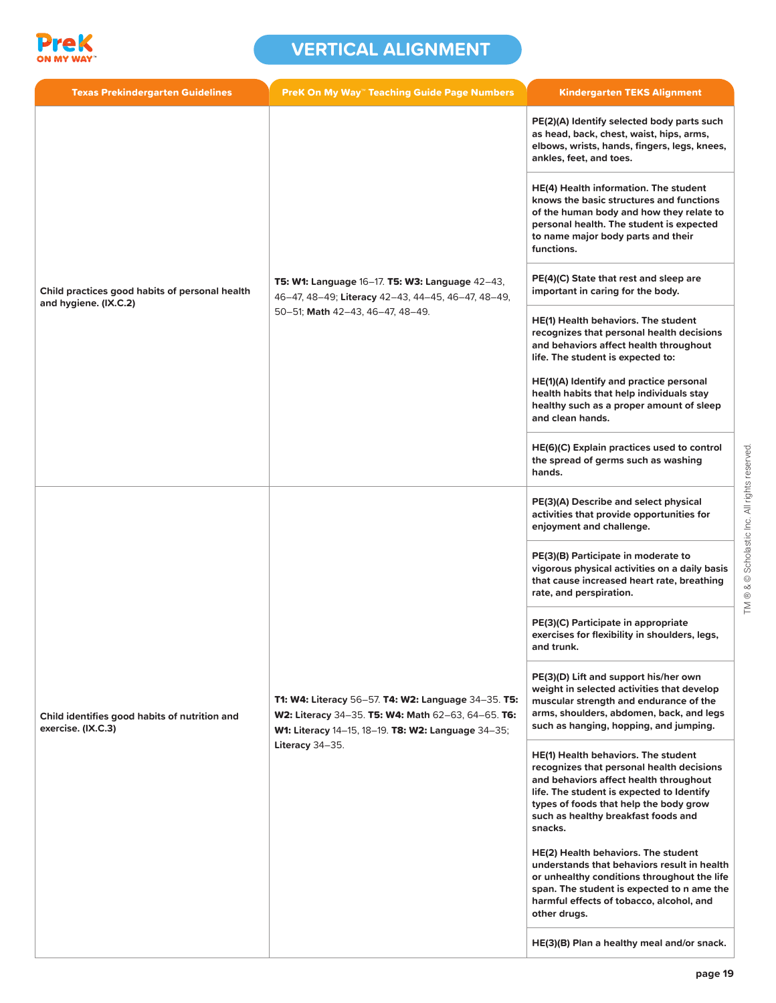

| <b>Texas Prekindergarten Guidelines</b>                             | <b>PreK On My Way™ Teaching Guide Page Numbers</b>                                                                                                                                 | <b>Kindergarten TEKS Alignment</b>                                                                                                                                                                                                                                         |
|---------------------------------------------------------------------|------------------------------------------------------------------------------------------------------------------------------------------------------------------------------------|----------------------------------------------------------------------------------------------------------------------------------------------------------------------------------------------------------------------------------------------------------------------------|
|                                                                     | T5: W1: Language 16-17. T5: W3: Language 42-43,<br>46-47, 48-49; Literacy 42-43, 44-45, 46-47, 48-49,<br>50-51; Math 42-43, 46-47, 48-49.                                          | PE(2)(A) Identify selected body parts such<br>as head, back, chest, waist, hips, arms,<br>elbows, wrists, hands, fingers, legs, knees,<br>ankles, feet, and toes.                                                                                                          |
|                                                                     |                                                                                                                                                                                    | <b>HE(4) Health information. The student</b><br>knows the basic structures and functions<br>of the human body and how they relate to<br>personal health. The student is expected<br>to name major body parts and their<br>functions.                                       |
| Child practices good habits of personal health                      |                                                                                                                                                                                    | PE(4)(C) State that rest and sleep are<br>important in caring for the body.                                                                                                                                                                                                |
| and hygiene. (IX.C.2)                                               |                                                                                                                                                                                    | <b>HE(1) Health behaviors. The student</b><br>recognizes that personal health decisions<br>and behaviors affect health throughout<br>life. The student is expected to:                                                                                                     |
|                                                                     |                                                                                                                                                                                    | HE(1)(A) Identify and practice personal<br>health habits that help individuals stay<br>healthy such as a proper amount of sleep<br>and clean hands.                                                                                                                        |
|                                                                     |                                                                                                                                                                                    | HE(6)(C) Explain practices used to control<br>the spread of germs such as washing<br>hands.                                                                                                                                                                                |
| Child identifies good habits of nutrition and<br>exercise. (IX.C.3) | T1: W4: Literacy 56-57. T4: W2: Language 34-35. T5:<br>W2: Literacy 34-35. T5: W4: Math 62-63, 64-65. T6:<br>W1: Literacy 14-15, 18-19. T8: W2: Language 34-35;<br>Literacy 34-35. | PE(3)(A) Describe and select physical<br>activities that provide opportunities for<br>enjoyment and challenge.                                                                                                                                                             |
|                                                                     |                                                                                                                                                                                    | PE(3)(B) Participate in moderate to<br>vigorous physical activities on a daily basis<br>that cause increased heart rate, breathing<br>rate, and perspiration.                                                                                                              |
|                                                                     |                                                                                                                                                                                    | PE(3)(C) Participate in appropriate<br>exercises for flexibility in shoulders, legs,<br>and trunk.                                                                                                                                                                         |
|                                                                     |                                                                                                                                                                                    | PE(3)(D) Lift and support his/her own<br>weight in selected activities that develop<br>muscular strength and endurance of the<br>arms, shoulders, abdomen, back, and legs<br>such as hanging, hopping, and jumping.                                                        |
|                                                                     |                                                                                                                                                                                    | <b>HE(1) Health behaviors. The student</b><br>recognizes that personal health decisions<br>and behaviors affect health throughout<br>life. The student is expected to Identify<br>types of foods that help the body grow<br>such as healthy breakfast foods and<br>snacks. |
|                                                                     |                                                                                                                                                                                    | HE(2) Health behaviors. The student<br>understands that behaviors result in health<br>or unhealthy conditions throughout the life<br>span. The student is expected to n ame the<br>harmful effects of tobacco, alcohol, and<br>other drugs.                                |
|                                                                     |                                                                                                                                                                                    | HE(3)(B) Plan a healthy meal and/or snack.                                                                                                                                                                                                                                 |